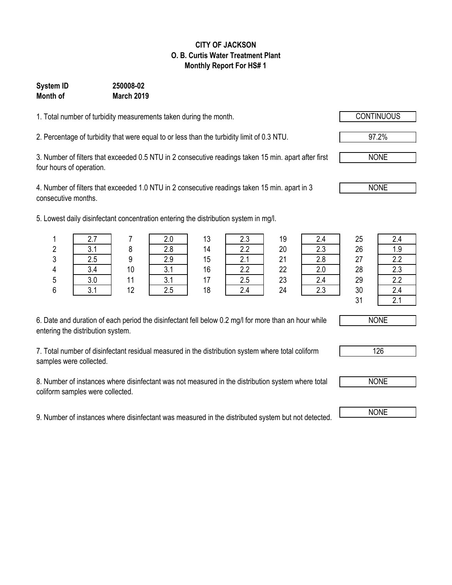#### **CITY OF JACKSON O. B. Curtis Water Treatment Plant Monthly Report For HS# 1**

### **System ID 250008-02 Month of March 2019**

1. Total number of turbidity measurements taken during the month.

2. Percentage of turbidity that were equal to or less than the turbidity limit of 0.3 NTU.

3. Number of filters that exceeded 0.5 NTU in 2 consecutive readings taken 15 min. apart after first four hours of operation.

4. Number of filters that exceeded 1.0 NTU in 2 consecutive readings taken 15 min. apart in 3 consecutive months.

5. Lowest daily disinfectant concentration entering the distribution system in mg/l.

|   |     |    |             | 12<br>ں ا | ں.ے             | 19      |     | 25 | 2.4 |
|---|-----|----|-------------|-----------|-----------------|---------|-----|----|-----|
|   | ັ.  |    | 2.8         | 14        | າ າ<br><u>.</u> | 20      | 2.3 | 26 | 1.9 |
| 2 | 2.J |    | າ ດ<br>ت. ے | 15        | <u>.</u>        | 21<br>∠ | 2.8 | 27 | 2.2 |
|   | ۰   | 10 | ◠           | 16        | 22              | 22      |     | 28 | 2.3 |
| ხ | v.v |    | ົ           | 17        | 2.5             | 23      | 2.4 | 29 | 2.2 |
|   |     | 12 |             | 18        |                 | 24      |     | 30 | 2.4 |

| 2.4 |
|-----|
| 2.3 |
| 2.8 |
| 2.0 |
| 2.4 |
| 2.3 |
|     |

| 2.4 |
|-----|
| .9  |
| 2.2 |
| 2.3 |
| 2.2 |
| 2.4 |
| 2.1 |

6. Date and duration of each period the disinfectant fell below 0.2 mg/l for more than an hour while entering the distribution system.

7. Total number of disinfectant residual measured in the distribution system where total coliform samples were collected.

8. Number of instances where disinfectant was not measured in the distribution system where total coliform samples were collected.

9. Number of instances where disinfectant was measured in the distributed system but not detected. NONE

NONE

126

NONE

97.2%

NONE

NONE

 $31$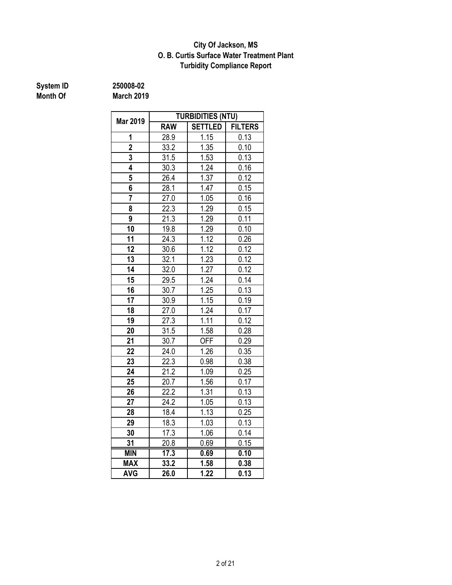#### **O. B. Curtis Surface Water Treatment Plant City Of Jackson, MS Turbidity Compliance Report**

# **System ID** 250008-02<br> **Month Of** March 2019

**Month Of March 2019**

|                 | <b>TURBIDITIES (NTU)</b> |                |                   |  |  |  |
|-----------------|--------------------------|----------------|-------------------|--|--|--|
| Mar 2019        | <b>RAW</b>               | <b>SETTLED</b> | <b>FILTERS</b>    |  |  |  |
| 1               | 28.9                     | 1.15           | 0.13              |  |  |  |
| $\overline{2}$  | 33.2                     | 1.35           | 0.10              |  |  |  |
| $\overline{3}$  | 31.5                     | 1.53           | 0.13              |  |  |  |
| 4               | 30.3                     | 1.24           | 0.16              |  |  |  |
| 5               | 26.4                     | 1.37           | 0.12              |  |  |  |
| 6               | 28.1                     | 1.47           | 0.15              |  |  |  |
| 7               | 27.0                     | 1.05           | 0.16              |  |  |  |
| 8               | 22.3                     | 1.29           | 0.15              |  |  |  |
| 9               | 21.3                     | 1.29           | 0.11              |  |  |  |
| 10              | 19.8                     | 1.29           | 0.10              |  |  |  |
| 11              | 24.3                     | 1.12           | 0.26              |  |  |  |
| 12              | 30.6                     | 1.12           | 0.12              |  |  |  |
| 13              | 32.1                     | 1.23           | 0.12              |  |  |  |
| 14              | 32.0                     | 1.27           | 0.12              |  |  |  |
| 15              | 29.5                     | 1.24           | 0.14              |  |  |  |
| 16              | 30.7                     | 1.25           | 0.13              |  |  |  |
| 17              | 30.9                     | 1.15           | 0.19              |  |  |  |
| $\overline{18}$ | 27.0                     | 1.24           | $0.\overline{17}$ |  |  |  |
| 19              | 27.3                     | 1.11           | 0.12              |  |  |  |
| 20              | 31.5                     | 1.58           | 0.28              |  |  |  |
| 21              | 30.7                     | <b>OFF</b>     | 0.29              |  |  |  |
| 22              | 24.0                     | 1.26           | 0.35              |  |  |  |
| 23              | 22.3                     | 0.98           | 0.38              |  |  |  |
| 24              | 21.2                     | 1.09           | 0.25              |  |  |  |
| 25              | 20.7                     | 1.56           | 0.17              |  |  |  |
| 26              | 22.2                     | 1.31           | 0.13              |  |  |  |
| 27              | 24.2                     | 1.05           | 0.13              |  |  |  |
| 28              | 18.4                     | 1.13           | 0.25              |  |  |  |
| 29              | 18.3                     | 1.03           | 0.13              |  |  |  |
| 30              | 17.3                     | 1.06           | 0.14              |  |  |  |
| 31              | 20.8                     | 0.69           | 0.15              |  |  |  |
| <b>MIN</b>      | 17.3                     | 0.69           | 0.10              |  |  |  |
| <b>MAX</b>      | 33.2                     | 1.58           | 0.38              |  |  |  |
| <b>AVG</b>      | 26.0                     | 1.22           | 0.13              |  |  |  |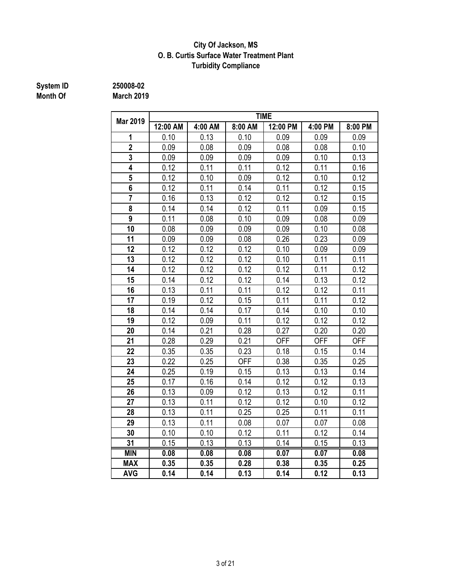#### **City Of Jackson, MS O. B. Curtis Surface Water Treatment Plant Turbidity Compliance**

# **System ID** 250008-02<br> **Month Of** March 2019

**Month Of March 2019**

| <b>TIME</b><br><b>Mar 2019</b> |          |         |            |            |            |            |
|--------------------------------|----------|---------|------------|------------|------------|------------|
|                                | 12:00 AM | 4:00 AM | 8:00 AM    | 12:00 PM   | 4:00 PM    | 8:00 PM    |
| 1                              | 0.10     | 0.13    | 0.10       | 0.09       | 0.09       | 0.09       |
| $\overline{2}$                 | 0.09     | 0.08    | 0.09       | 0.08       | 0.08       | 0.10       |
| $\overline{\mathbf{3}}$        | 0.09     | 0.09    | 0.09       | 0.09       | 0.10       | 0.13       |
| 4                              | 0.12     | 0.11    | 0.11       | 0.12       | 0.11       | 0.16       |
| $\overline{\mathbf{5}}$        | 0.12     | 0.10    | 0.09       | 0.12       | 0.10       | 0.12       |
| $\overline{\mathbf{6}}$        | 0.12     | 0.11    | 0.14       | 0.11       | 0.12       | 0.15       |
|                                | 0.16     | 0.13    | 0.12       | 0.12       | 0.12       | 0.15       |
| 8                              | 0.14     | 0.14    | 0.12       | 0.11       | 0.09       | 0.15       |
| 9                              | 0.11     | 0.08    | 0.10       | 0.09       | 0.08       | 0.09       |
| 10                             | 0.08     | 0.09    | 0.09       | 0.09       | 0.10       | 0.08       |
| 11                             | 0.09     | 0.09    | 0.08       | 0.26       | 0.23       | 0.09       |
| 12                             | 0.12     | 0.12    | 0.12       | 0.10       | 0.09       | 0.09       |
| 13                             | 0.12     | 0.12    | 0.12       | 0.10       | 0.11       | 0.11       |
| 14                             | 0.12     | 0.12    | 0.12       | 0.12       | 0.11       | 0.12       |
| 15                             | 0.14     | 0.12    | 0.12       | 0.14       | 0.13       | 0.12       |
| 16                             | 0.13     | 0.11    | 0.11       | 0.12       | 0.12       | 0.11       |
| 17                             | 0.19     | 0.12    | 0.15       | 0.11       | 0.11       | 0.12       |
| 18                             | 0.14     | 0.14    | 0.17       | 0.14       | 0.10       | 0.10       |
| 19                             | 0.12     | 0.09    | 0.11       | 0.12       | 0.12       | 0.12       |
| 20                             | 0.14     | 0.21    | 0.28       | 0.27       | 0.20       | 0.20       |
| 21                             | 0.28     | 0.29    | 0.21       | <b>OFF</b> | <b>OFF</b> | <b>OFF</b> |
| 22                             | 0.35     | 0.35    | 0.23       | 0.18       | 0.15       | 0.14       |
| 23                             | 0.22     | 0.25    | <b>OFF</b> | 0.38       | 0.35       | 0.25       |
| 24                             | 0.25     | 0.19    | 0.15       | 0.13       | 0.13       | 0.14       |
| 25                             | 0.17     | 0.16    | 0.14       | 0.12       | 0.12       | 0.13       |
| 26                             | 0.13     | 0.09    | 0.12       | 0.13       | 0.12       | 0.11       |
| 27                             | 0.13     | 0.11    | 0.12       | 0.12       | 0.10       | 0.12       |
| 28                             | 0.13     | 0.11    | 0.25       | 0.25       | 0.11       | 0.11       |
| 29                             | 0.13     | 0.11    | 0.08       | 0.07       | 0.07       | 0.08       |
| 30                             | 0.10     | 0.10    | 0.12       | 0.11       | 0.12       | 0.14       |
| 31                             | 0.15     | 0.13    | 0.13       | 0.14       | 0.15       | 0.13       |
| <b>MIN</b>                     | 0.08     | 0.08    | 0.08       | 0.07       | 0.07       | 0.08       |
| <b>MAX</b>                     | 0.35     | 0.35    | 0.28       | 0.38       | 0.35       | 0.25       |
| <b>AVG</b>                     | 0.14     | 0.14    | 0.13       | 0.14       | 0.12       | 0.13       |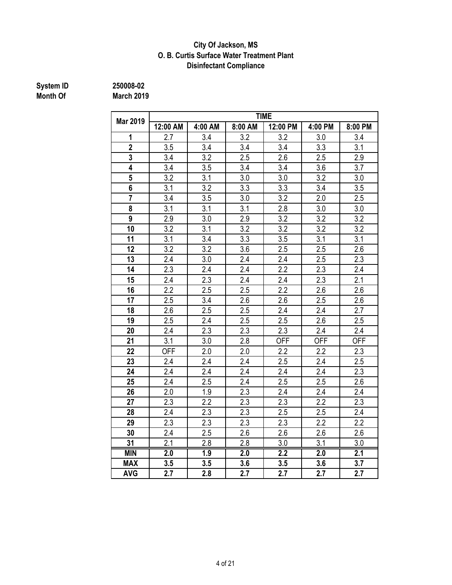#### **Disinfectant Compliance City Of Jackson, MS O. B. Curtis Surface Water Treatment Plant**

# **System ID**<br>**Month Of**

| lonth Of |  |
|----------|--|
|----------|--|

| 250008-02  |  |
|------------|--|
| March 2019 |  |

|                 | <b>TIME</b>      |                  |                  |                  |                  |            |  |  |
|-----------------|------------------|------------------|------------------|------------------|------------------|------------|--|--|
| <b>Mar 2019</b> | 12:00 AM         | 4:00 AM          | 8:00 AM          | 12:00 PM         | 4:00 PM          | 8:00 PM    |  |  |
| 1               | 2.7              | 3.4              | 3.2              | 3.2              | 3.0              | 3.4        |  |  |
| $\overline{2}$  | 3.5              | 3.4              | 3.4              | 3.4              | $\overline{3.3}$ | 3.1        |  |  |
| 3               | 3.4              | 3.2              | 2.5              | 2.6              | 2.5              | 2.9        |  |  |
| 4               | 3.4              | 3.5              | 3.4              | 3.4              | 3.6              | 3.7        |  |  |
| 5               | 3.2              | 3.1              | 3.0              | 3.0              | 3.2              | 3.0        |  |  |
| 6               | 3.1              | 3.2              | 3.3              | 3.3              | 3.4              | 3.5        |  |  |
| $\overline{7}$  | 3.4              | 3.5              | 3.0              | 3.2              | 2.0              | 2.5        |  |  |
| 8               | 3.1              | 3.1              | 3.1              | 2.8              | 3.0              | 3.0        |  |  |
| 9               | 2.9              | 3.0              | 2.9              | 3.2              | 3.2              | 3.2        |  |  |
| 10              | 3.2              | 3.1              | 3.2              | 3.2              | 3.2              | 3.2        |  |  |
| 11              | 3.1              | 3.4              | 3.3              | 3.5              | 3.1              | 3.1        |  |  |
| 12              | 3.2              | 3.2              | 3.6              | 2.5              | 2.5              | 2.6        |  |  |
| 13              | 2.4              | 3.0              | 2.4              | 2.4              | 2.5              | 2.3        |  |  |
| 14              | 2.3              | 2.4              | 2.4              | 2.2              | 2.3              | 2.4        |  |  |
| 15              | 2.4              | 2.3              | 2.4              | 2.4              | 2.3              | 2.1        |  |  |
| 16              | 2.2              | 2.5              | 2.5              | 2.2              | 2.6              | 2.6        |  |  |
| 17              | 2.5              | 3.4              | 2.6              | 2.6              | 2.5              | 2.6        |  |  |
| 18              | 2.6              | 2.5              | 2.5              | 2.4              | 2.4              | 2.7        |  |  |
| 19              | 2.5              | 2.4              | 2.5              | 2.5              | 2.6              | 2.5        |  |  |
| 20              | 2.4              | 2.3              | 2.3              | 2.3              | 2.4              | 2.4        |  |  |
| 21              | 3.1              | 3.0              | 2.8              | <b>OFF</b>       | <b>OFF</b>       | <b>OFF</b> |  |  |
| 22              | <b>OFF</b>       | 2.0              | 2.0              | 2.2              | 2.2              | 2.3        |  |  |
| 23              | 2.4              | 2.4              | 2.4              | 2.5              | 2.4              | 2.5        |  |  |
| 24              | 2.4              | 2.4              | 2.4              | 2.4              | 2.4              | 2.3        |  |  |
| 25              | 2.4              | 2.5              | 2.4              | 2.5              | 2.5              | 2.6        |  |  |
| 26              | 2.0              | 1.9              | 2.3              | 2.4              | 2.4              | 2.4        |  |  |
| 27              | 2.3              | 2.2              | 2.3              | 2.3              | 2.2              | 2.3        |  |  |
| 28              | 2.4              | 2.3              | 2.3              | 2.5              | 2.5              | 2.4        |  |  |
| 29              | 2.3              | 2.3              | 2.3              | 2.3              | 2.2              | 2.2        |  |  |
| 30              | 2.4              | 2.5              | 2.6              | 2.6              | 2.6              | 2.6        |  |  |
| 31              | 2.1              | 2.8              | 2.8              | 3.0              | 3.1              | 3.0        |  |  |
| <b>MIN</b>      | $\overline{2.0}$ | $\overline{1.9}$ | $\overline{2.0}$ | $\overline{2.2}$ | $\overline{2.0}$ | 2.1        |  |  |
| <b>MAX</b>      | 3.5              | 3.5              | 3.6              | 3.5              | 3.6              | 3.7        |  |  |
| <b>AVG</b>      | 2.7              | 2.8              | 2.7              | 2.7              | 2.7              | 2.7        |  |  |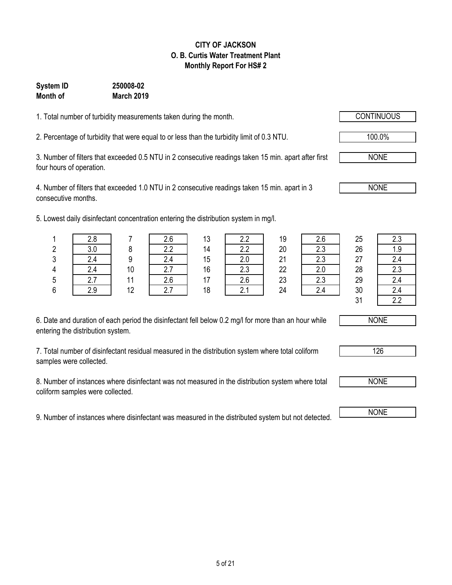#### **CITY OF JACKSON O. B. Curtis Water Treatment Plant Monthly Report For HS# 2**

### **Month of March 2019 System ID 250008-02**

1. Total number of turbidity measurements taken during the month.

2. Percentage of turbidity that were equal to or less than the turbidity limit of 0.3 NTU. 100.0%

3. Number of filters that exceeded 0.5 NTU in 2 consecutive readings taken 15 min. apart after first four hours of operation.

4. Number of filters that exceeded 1.0 NTU in 2 consecutive readings taken 15 min. apart in 3 consecutive months.

5. Lowest daily disinfectant concentration entering the distribution system in mg/l.

| 6. Date and duration of each period the disinfectant fell below 0.2 mg/l for more than an hour while |  |
|------------------------------------------------------------------------------------------------------|--|
| entering the distribution system.                                                                    |  |

7. Total number of disinfectant residual measured in the distribution system where total coliform samples were collected.

8. Number of instances where disinfectant was not measured in the distribution system where total coliform samples were collected.

9. Number of instances where disinfectant was measured in the distributed system but not detected.

|        | Z.O      |                        | Z.U                | ں ا | ے.ے   | ט ו           | Z.V                  | ΖJ           | ں ے    |
|--------|----------|------------------------|--------------------|-----|-------|---------------|----------------------|--------------|--------|
| n<br>∠ | v.v      |                        | $\sim$             | ¬   | ے . د | 20            | $\sim$ $\sim$<br>ں ے | 26           | 1.9    |
| 3      |          |                        | $\sim$<br><u>.</u> | 15  | z.u   | $\mathcal{L}$ | $\sim$<br>ن ے        | ר מ<br>∠     | 2.4    |
| Λ      |          | 10 <sup>1</sup><br>l U | <u>.</u>           | 16  | د.ء   | 22            |                      | 28           | 2.3    |
| 5      | <u>.</u> |                        | $\sim$             |     | Z.O   | 23            | ن ے                  | 29           | 2.4    |
| 6      | ን ዐ      | 12<br>└                |                    | 18  |       | 24            |                      | 30           | 2.4    |
|        |          |                        |                    |     |       |               |                      | $\mathbf{A}$ | $\sim$ |









NONE

NONE

NONE

1 2.8 7 2.6 13 2.2 19 2.6 25 2.3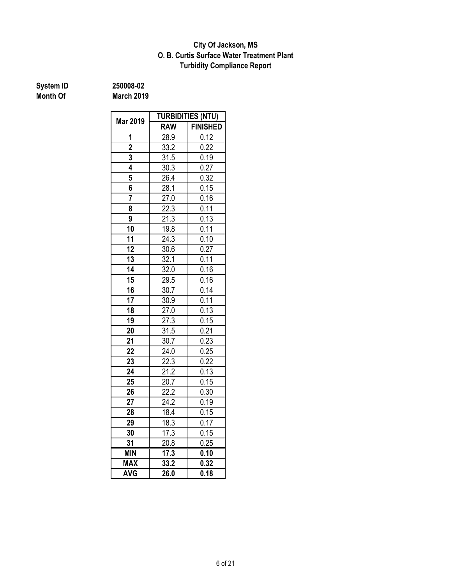#### **Turbidity Compliance Report O. B. Curtis Surface Water Treatment Plant City Of Jackson, MS**

# **System ID** 250008-02<br> **Month Of** March 2019

**Month Of March 2019**

|                 | <b>TURBIDITIES (NTU)</b> |                 |  |  |  |
|-----------------|--------------------------|-----------------|--|--|--|
| <b>Mar 2019</b> | <b>RAW</b>               | <b>FINISHED</b> |  |  |  |
| 1               | 28.9                     | 0.12            |  |  |  |
| $\overline{2}$  | 33.2                     | 0.22            |  |  |  |
| 3               | 31.5                     | 0.19            |  |  |  |
| 4               | 30.3                     | 0.27            |  |  |  |
| 5               | 26.4                     | 0.32            |  |  |  |
| 6               | 28.1                     | 0.15            |  |  |  |
| 7               | 27.0                     | 0.16            |  |  |  |
| 8               | 22.3                     | 0.11            |  |  |  |
| 9               | 21.3                     | 0.13            |  |  |  |
| 10              | 19.8                     | 0.11            |  |  |  |
| 11              | 24.3                     | 0.10            |  |  |  |
| 12              | 30.6                     | 0.27            |  |  |  |
| 13              | 32.1                     | 0.11            |  |  |  |
| $\overline{14}$ | 32.0                     | 0.16            |  |  |  |
| 15              | 29.5                     | 0.16            |  |  |  |
| 16              | 30.7                     | 0.14            |  |  |  |
| 17              | 30.9                     | 0.11            |  |  |  |
| 18              | 27.0                     | 0.13            |  |  |  |
| $\overline{19}$ | 27.3                     | 0.15            |  |  |  |
| 20              | 31.5                     | 0.21            |  |  |  |
| 21              | 30.7                     | 0.23            |  |  |  |
| 22              | 24.0                     | 0.25            |  |  |  |
| 23              | 22.3                     | 0.22            |  |  |  |
| 24              | 21.2                     | 0.13            |  |  |  |
| 25              | 20.7                     | 0.15            |  |  |  |
| 26              | 22.2                     | 0.30            |  |  |  |
| 27              | 24.2                     | 0.19            |  |  |  |
| 28              | 18.4                     | 0.15            |  |  |  |
| 29              | 18.3                     | 0.17            |  |  |  |
| 30              | 17.3                     | 0.15            |  |  |  |
| 31              | 20.8                     | 0.25            |  |  |  |
| <b>MIN</b>      | 17.3                     | 0.10            |  |  |  |
| <b>MAX</b>      | 33.2                     | 0.32            |  |  |  |
| <b>AVG</b>      | $\frac{1}{26.0}$         | 0.18            |  |  |  |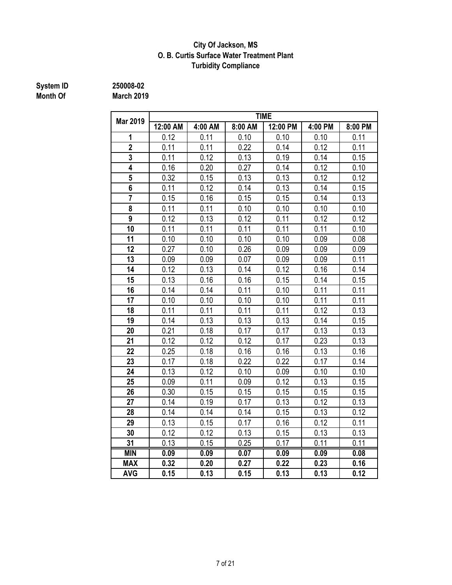#### **City Of Jackson, MS O. B. Curtis Surface Water Treatment Plant Turbidity Compliance**

# **System ID** 250008-02<br> **Month Of** March 2019

**Month Of March 2019**

|                         | <b>TIME</b> |         |         |          |         |         |  |  |
|-------------------------|-------------|---------|---------|----------|---------|---------|--|--|
| <b>Mar 2019</b>         | 12:00 AM    | 4:00 AM | 8:00 AM | 12:00 PM | 4:00 PM | 8:00 PM |  |  |
| 1                       | 0.12        | 0.11    | 0.10    | 0.10     | 0.10    | 0.11    |  |  |
| $\overline{2}$          | 0.11        | 0.11    | 0.22    | 0.14     | 0.12    | 0.11    |  |  |
| $\overline{3}$          | 0.11        | 0.12    | 0.13    | 0.19     | 0.14    | 0.15    |  |  |
| 4                       | 0.16        | 0.20    | 0.27    | 0.14     | 0.12    | 0.10    |  |  |
| 5                       | 0.32        | 0.15    | 0.13    | 0.13     | 0.12    | 0.12    |  |  |
| $\overline{\mathbf{6}}$ | 0.11        | 0.12    | 0.14    | 0.13     | 0.14    | 0.15    |  |  |
| $\overline{7}$          | 0.15        | 0.16    | 0.15    | 0.15     | 0.14    | 0.13    |  |  |
| 8                       | 0.11        | 0.11    | 0.10    | 0.10     | 0.10    | 0.10    |  |  |
| 9                       | 0.12        | 0.13    | 0.12    | 0.11     | 0.12    | 0.12    |  |  |
| 10                      | 0.11        | 0.11    | 0.11    | 0.11     | 0.11    | 0.10    |  |  |
| 11                      | 0.10        | 0.10    | 0.10    | 0.10     | 0.09    | 0.08    |  |  |
| 12                      | 0.27        | 0.10    | 0.26    | 0.09     | 0.09    | 0.09    |  |  |
| 13                      | 0.09        | 0.09    | 0.07    | 0.09     | 0.09    | 0.11    |  |  |
| 14                      | 0.12        | 0.13    | 0.14    | 0.12     | 0.16    | 0.14    |  |  |
| 15                      | 0.13        | 0.16    | 0.16    | 0.15     | 0.14    | 0.15    |  |  |
| 16                      | 0.14        | 0.14    | 0.11    | 0.10     | 0.11    | 0.11    |  |  |
| 17                      | 0.10        | 0.10    | 0.10    | 0.10     | 0.11    | 0.11    |  |  |
| 18                      | 0.11        | 0.11    | 0.11    | 0.11     | 0.12    | 0.13    |  |  |
| 19                      | 0.14        | 0.13    | 0.13    | 0.13     | 0.14    | 0.15    |  |  |
| 20                      | 0.21        | 0.18    | 0.17    | 0.17     | 0.13    | 0.13    |  |  |
| 21                      | 0.12        | 0.12    | 0.12    | 0.17     | 0.23    | 0.13    |  |  |
| 22                      | 0.25        | 0.18    | 0.16    | 0.16     | 0.13    | 0.16    |  |  |
| 23                      | 0.17        | 0.18    | 0.22    | 0.22     | 0.17    | 0.14    |  |  |
| 24                      | 0.13        | 0.12    | 0.10    | 0.09     | 0.10    | 0.10    |  |  |
| 25                      | 0.09        | 0.11    | 0.09    | 0.12     | 0.13    | 0.15    |  |  |
| 26                      | 0.30        | 0.15    | 0.15    | 0.15     | 0.15    | 0.15    |  |  |
| 27                      | 0.14        | 0.19    | 0.17    | 0.13     | 0.12    | 0.13    |  |  |

 0.14 0.14 0.14 0.15 0.13 0.12 0.13 0.15 0.17 0.16 0.12 0.11 | 0.12 | 0.12 | 0.13 | 0.15 | 0.13 | 0.13 0.13 0.15 0.25 0.17 0.11 0.11 **MIN 0.09 0.09 0.07 0.09 0.09 0.08 MAX 0.32 0.20 0.27 0.22 0.23 0.16 AVG 0.15 0.13 0.15 0.13 0.13 0.12**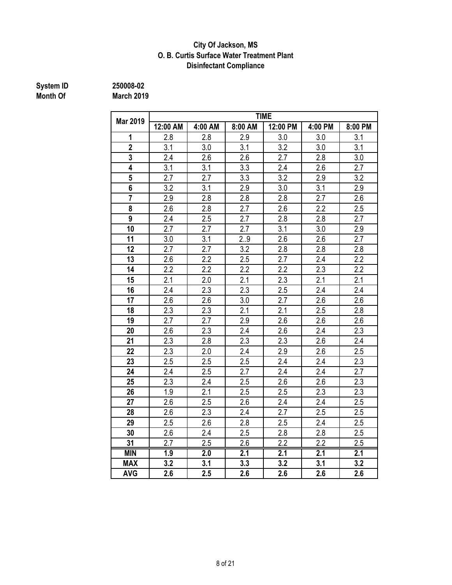#### **City Of Jackson, MS O. B. Curtis Surface Water Treatment Plant Disinfectant Compliance**

## **Month Of March 2019**

**System ID 250008-02**

| -------           |  |
|-------------------|--|
| <b>March 2019</b> |  |

| Mar 2019       | <b>TIME</b>      |                  |                  |                  |         |                  |
|----------------|------------------|------------------|------------------|------------------|---------|------------------|
|                | 12:00 AM         | 4:00 AM          | 8:00 AM          | 12:00 PM         | 4:00 PM | 8:00 PM          |
| 1              | 2.8              | 2.8              | 2.9              | 3.0              | 3.0     | 3.1              |
| $\overline{2}$ | 3.1              | 3.0              | 3.1              | 3.2              | 3.0     | 3.1              |
| $\overline{3}$ | 2.4              | 2.6              | 2.6              | 2.7              | 2.8     | 3.0              |
| 4              | 3.1              | 3.1              | 3.3              | 2.4              | 2.6     | 2.7              |
| 5              | 2.7              | 2.7              | 3.3              | 3.2              | 2.9     | 3.2              |
| 6              | 3.2              | 3.1              | 2.9              | 3.0              | 3.1     | 2.9              |
| $\overline{7}$ | 2.9              | 2.8              | 2.8              | 2.8              | 2.7     | 2.6              |
| 8              | 2.6              | 2.8              | 2.7              | 2.6              | 2.2     | 2.5              |
| 9              | 2.4              | 2.5              | 2.7              | 2.8              | 2.8     | 2.7              |
| 10             | 2.7              | 2.7              | 2.7              | 3.1              | 3.0     | 2.9              |
| 11             | 3.0              | 3.1              | 2.9              | 2.6              | 2.6     | 2.7              |
| 12             | 2.7              | 2.7              | 3.2              | 2.8              | 2.8     | 2.8              |
| 13             | 2.6              | 2.2              | 2.5              | 2.7              | 2.4     | 2.2              |
| 14             | 2.2              | 2.2              | 2.2              | 2.2              | 2.3     | 2.2              |
| 15             | 2.1              | 2.0              | 2.1              | 2.3              | 2.1     | 2.1              |
| 16             | 2.4              | 2.3              | 2.3              | 2.5              | 2.4     | 2.4              |
| 17             | 2.6              | 2.6              | 3.0              | 2.7              | 2.6     | 2.6              |
| 18             | 2.3              | 2.3              | 2.1              | 2.1              | 2.5     | 2.8              |
| 19             | $\overline{2.7}$ | $\overline{2.7}$ | 2.9              | $\overline{2.6}$ | 2.6     | 2.6              |
| 20             | 2.6              | 2.3              | 2.4              | 2.6              | 2.4     | 2.3              |
| 21             | 2.3              | 2.8              | 2.3              | 2.3              | 2.6     | 2.4              |
| 22             | 2.3              | 2.0              | 2.4              | 2.9              | 2.6     | 2.5              |
| 23             | 2.5              | 2.5              | 2.5              | 2.4              | 2.4     | 2.3              |
| 24             | 2.4              | 2.5              | 2.7              | 2.4              | 2.4     | 2.7              |
| 25             | 2.3              | 2.4              | 2.5              | 2.6              | 2.6     | 2.3              |
| 26             | 1.9              | 2.1              | 2.5              | 2.5              | 2.3     | 2.3              |
| 27             | 2.6              | 2.5              | 2.6              | 2.4              | 2.4     | 2.5              |
| 28             | 2.6              | 2.3              | 2.4              | 2.7              | 2.5     | 2.5              |
| 29             | 2.5              | 2.6              | 2.8              | 2.5              | 2.4     | 2.5              |
| 30             | 2.6              | 2.4              | 2.5              | 2.8              | 2.8     | 2.5              |
| 31             | 2.7              | 2.5              | 2.6              | 2.2              | 2.2     | 2.5              |
| <b>MIN</b>     | 1.9              | 2.0              | $\overline{2.1}$ | 2.1              | 2.1     | $\overline{2.1}$ |
| <b>MAX</b>     | 3.2              | 3.1              | 3.3              | 3.2              | 3.1     | 3.2              |
| <b>AVG</b>     | 2.6              | 2.5              | 2.6              | 2.6              | 2.6     | $\overline{2.6}$ |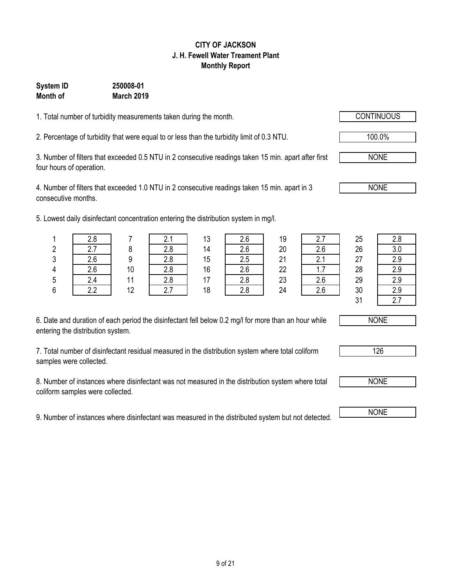## 9 of 21

#### **CITY OF JACKSON J. H. Fewell Water Treament Plant Monthly Report**

### **System ID 250008-01 Month of March 2019**

1. Total number of turbidity measurements taken during the month.

2. Percentage of turbidity that were equal to or less than the turbidity limit of 0.3 NTU. 100.0%

3. Number of filters that exceeded 0.5 NTU in 2 consecutive readings taken 15 min. apart after first four hours of operation.

4. Number of filters that exceeded 1.0 NTU in 2 consecutive readings taken 15 min. apart in 3 consecutive months.

5. Lowest daily disinfectant concentration entering the distribution system in mg/l.

| 6. Date and duration of each period the disinfectant fell below 0.2 mg/l for more than an hour while |  |
|------------------------------------------------------------------------------------------------------|--|
| entering the distribution system.                                                                    |  |

7. Total number of disinfectant residual measured in the distribution system where total coliform samples were collected.

8. Number of instances where disinfectant was not measured in the distribution system where total coliform samples were collected.

9. Number of instances where disinfectant was measured in the distributed system but not detected. NONE

|         | woot daily diomnoctant concontration onto might of diothodition oyotom in might |    |               |    |                |          |          |          |          |
|---------|---------------------------------------------------------------------------------|----|---------------|----|----------------|----------|----------|----------|----------|
|         | 2.8                                                                             |    | Ζ.            | 13 | Z.O            | 19       |          | 25       | 2.8      |
| n<br>۷. |                                                                                 |    | 2.8           | 14 | 2.b            | 20       | 2.6      | 26       | 3.0      |
| C.<br>ر | 2.6                                                                             |    | 2.8           | 15 | 2.5            | 21       |          | 27       | 2.9      |
| 4       | 2.6                                                                             | 10 | 2.8           | 16 | 2.b            | 22       | 1.1      | 28       | 2.9      |
| 5       | 2.4                                                                             |    | റ റ<br>Z.O    |    | 2.8            | 23       | 2.6      | 29       | 2.9      |
| c       | $\Omega$                                                                        | 10 | $\sim$ $\sim$ | 40 | 0 <sub>0</sub> | $\Omega$ | $\Omega$ | $\Omega$ | $\Omega$ |









NONE

NONE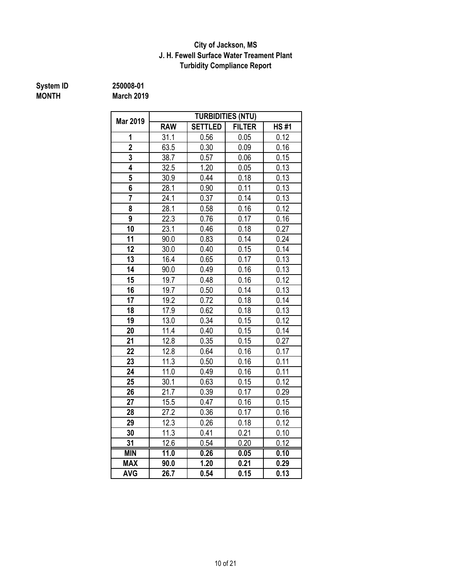#### **J. H. Fewell Surface Water Treament Plant Turbidity Compliance Report City of Jackson, MS**

# **System ID** 250008-01<br> **MONTH** March 2019

**March 2019** 

| Mar 2019                | <b>TURBIDITIES (NTU)</b> |                |               |             |  |  |  |  |  |
|-------------------------|--------------------------|----------------|---------------|-------------|--|--|--|--|--|
|                         | <b>RAW</b>               | <b>SETTLED</b> | <b>FILTER</b> | <b>HS#1</b> |  |  |  |  |  |
| 1                       | 31.1                     | 0.56           | 0.05          | 0.12        |  |  |  |  |  |
| $\overline{2}$          | 63.5                     | 0.30           | 0.09          | 0.16        |  |  |  |  |  |
| $\overline{\mathbf{3}}$ | 38.7                     | 0.57           | 0.06          | 0.15        |  |  |  |  |  |
| 4                       | 32.5                     | 1.20           | 0.05          | 0.13        |  |  |  |  |  |
| 5                       | 30.9                     | 0.44           | 0.18          | 0.13        |  |  |  |  |  |
| 6                       | 28.1                     | 0.90           | 0.11          | 0.13        |  |  |  |  |  |
|                         | 24.1                     | 0.37           | 0.14          | 0.13        |  |  |  |  |  |
| 8                       | 28.1                     | 0.58           | 0.16          | 0.12        |  |  |  |  |  |
| 9                       | $\overline{22.3}$        | 0.76           | 0.17          | 0.16        |  |  |  |  |  |
| 10                      | 23.1                     | 0.46           | 0.18          | 0.27        |  |  |  |  |  |
| 11                      | 90.0                     | 0.83           | 0.14          | 0.24        |  |  |  |  |  |
| 12                      | 30.0                     | 0.40           | 0.15          | 0.14        |  |  |  |  |  |
| 13                      | 16.4                     | 0.65           | 0.17          | 0.13        |  |  |  |  |  |
| 14                      | 90.0                     | 0.49           | 0.16          | 0.13        |  |  |  |  |  |
| 15                      | 19.7                     | 0.48           | 0.16          | 0.12        |  |  |  |  |  |
| 16                      | 19.7                     | 0.50           | 0.14          | 0.13        |  |  |  |  |  |
| 17                      | 19.2                     | 0.72           | 0.18          | 0.14        |  |  |  |  |  |
| 18                      | 17.9                     | 0.62           | 0.18          | 0.13        |  |  |  |  |  |
| 19                      | 13.0                     | 0.34           | 0.15          | 0.12        |  |  |  |  |  |
| 20                      | 11.4                     | 0.40           | 0.15          | 0.14        |  |  |  |  |  |
| 21                      | 12.8                     | 0.35           | 0.15          | 0.27        |  |  |  |  |  |
| 22                      | 12.8                     | 0.64           | 0.16          | 0.17        |  |  |  |  |  |
| 23                      | 11.3                     | 0.50           | 0.16          | 0.11        |  |  |  |  |  |
| 24                      | 11.0                     | 0.49           | 0.16          | 0.11        |  |  |  |  |  |
| 25                      | 30.1                     | 0.63           | 0.15          | 0.12        |  |  |  |  |  |
| 26                      | 21.7                     | 0.39           | 0.17          | 0.29        |  |  |  |  |  |
| 27                      | 15.5                     | 0.47           | 0.16          | 0.15        |  |  |  |  |  |
| 28                      | 27.2                     | 0.36           | 0.17          | 0.16        |  |  |  |  |  |
| 29                      | $12.\overline{3}$        | 0.26           | 0.18          | 0.12        |  |  |  |  |  |
| 30                      | 11.3                     | 0.41           | 0.21          | 0.10        |  |  |  |  |  |
| 31                      | 12.6                     | 0.54           | 0.20          | 0.12        |  |  |  |  |  |
| <b>MIN</b>              | 11.0                     | 0.26           | 0.05          | 0.10        |  |  |  |  |  |
| <b>MAX</b>              | 90.0                     | 1.20           | 0.21          | 0.29        |  |  |  |  |  |
| <b>AVG</b>              | 26.7                     | 0.54           | 0.15          | 0.13        |  |  |  |  |  |

10 of 21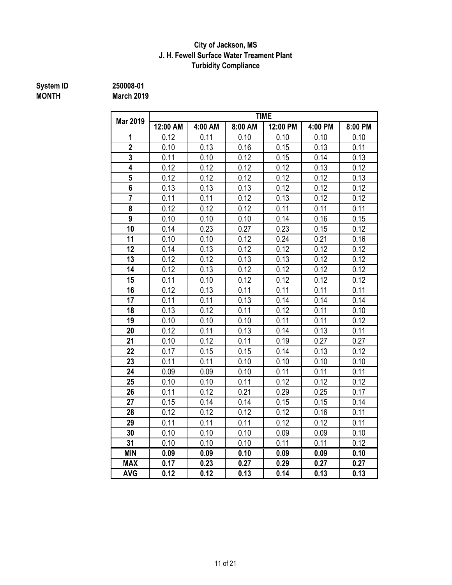#### **J. H. Fewell Surface Water Treament Plant Turbidity Compliance City of Jackson, MS**

# **MONTH March 2019**

**System ID 250008-01**

|                | <b>TIME</b> |         |         |          |         |         |
|----------------|-------------|---------|---------|----------|---------|---------|
| Mar 2019       | 12:00 AM    | 4:00 AM | 8:00 AM | 12:00 PM | 4:00 PM | 8:00 PM |
| 1              | 0.12        | 0.11    | 0.10    | 0.10     | 0.10    | 0.10    |
| $\overline{2}$ | 0.10        | 0.13    | 0.16    | 0.15     | 0.13    | 0.11    |
| $\overline{3}$ | 0.11        | 0.10    | 0.12    | 0.15     | 0.14    | 0.13    |
| $\overline{4}$ | 0.12        | 0.12    | 0.12    | 0.12     | 0.13    | 0.12    |
| 5              | 0.12        | 0.12    | 0.12    | 0.12     | 0.12    | 0.13    |
| 6              | 0.13        | 0.13    | 0.13    | 0.12     | 0.12    | 0.12    |
| $\overline{7}$ | 0.11        | 0.11    | 0.12    | 0.13     | 0.12    | 0.12    |
| 8              | 0.12        | 0.12    | 0.12    | 0.11     | 0.11    | 0.11    |
| 9              | 0.10        | 0.10    | 0.10    | 0.14     | 0.16    | 0.15    |
| 10             | 0.14        | 0.23    | 0.27    | 0.23     | 0.15    | 0.12    |
| 11             | 0.10        | 0.10    | 0.12    | 0.24     | 0.21    | 0.16    |
| 12             | 0.14        | 0.13    | 0.12    | 0.12     | 0.12    | 0.12    |
| 13             | 0.12        | 0.12    | 0.13    | 0.13     | 0.12    | 0.12    |
| 14             | 0.12        | 0.13    | 0.12    | 0.12     | 0.12    | 0.12    |
| 15             | 0.11        | 0.10    | 0.12    | 0.12     | 0.12    | 0.12    |
| 16             | 0.12        | 0.13    | 0.11    | 0.11     | 0.11    | 0.11    |
| 17             | 0.11        | 0.11    | 0.13    | 0.14     | 0.14    | 0.14    |
| 18             | 0.13        | 0.12    | 0.11    | 0.12     | 0.11    | 0.10    |
| 19             | 0.10        | 0.10    | 0.10    | 0.11     | 0.11    | 0.12    |
| 20             | 0.12        | 0.11    | 0.13    | 0.14     | 0.13    | 0.11    |
| 21             | 0.10        | 0.12    | 0.11    | 0.19     | 0.27    | 0.27    |
| 22             | 0.17        | 0.15    | 0.15    | 0.14     | 0.13    | 0.12    |
| 23             | 0.11        | 0.11    | 0.10    | 0.10     | 0.10    | 0.10    |
| 24             | 0.09        | 0.09    | 0.10    | 0.11     | 0.11    | 0.11    |
| 25             | 0.10        | 0.10    | 0.11    | 0.12     | 0.12    | 0.12    |
| 26             | 0.11        | 0.12    | 0.21    | 0.29     | 0.25    | 0.17    |
| 27             | 0.15        | 0.14    | 0.14    | 0.15     | 0.15    | 0.14    |
| 28             | 0.12        | 0.12    | 0.12    | 0.12     | 0.16    | 0.11    |
| 29             | 0.11        | 0.11    | 0.11    | 0.12     | 0.12    | 0.11    |
| 30             | 0.10        | 0.10    | 0.10    | 0.09     | 0.09    | 0.10    |
| 31             | 0.10        | 0.10    | 0.10    | 0.11     | 0.11    | 0.12    |
| <b>MIN</b>     | 0.09        | 0.09    | 0.10    | 0.09     | 0.09    | 0.10    |
| <b>MAX</b>     | 0.17        | 0.23    | 0.27    | 0.29     | 0.27    | 0.27    |
| <b>AVG</b>     | 0.12        | 0.12    | 0.13    | 0.14     | 0.13    | 0.13    |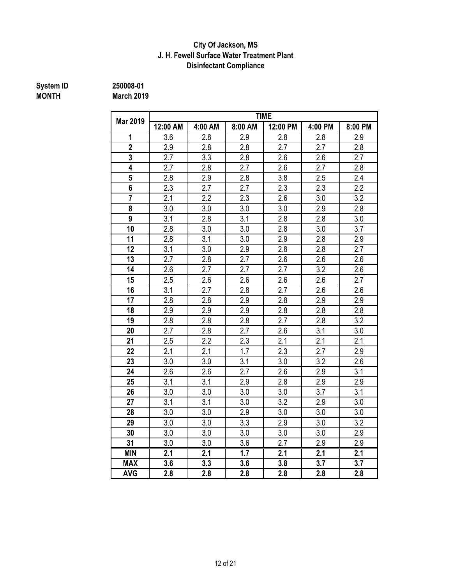#### **Disinfectant Compliance City Of Jackson, MS J. H. Fewell Surface Water Treatment Plant**

**12:00 AM 4:00 AM 8:00 AM 12:00 PM 4:00 PM 8:00 PM**

## **MONTH March 2019**

**System ID 250008-01**

|                |          |         |         | <b>TIME</b> |         |                  |
|----------------|----------|---------|---------|-------------|---------|------------------|
| Mar 2019       | 12:00 AM | 4:00 AM | 8:00 AM | 12:00 PM    | 4:00 PM | 8:00F            |
| 1              | 3.6      | 2.8     | 2.9     | 2.8         | 2.8     | 2.9              |
| $\overline{2}$ | 2.9      | 2.8     | 2.8     | 2.7         | 2.7     | $\overline{2.8}$ |
| 3              | 2.7      | 3.3     | 2.8     | 2.6         | 2.6     | 2.7              |
| 4              | 2.7      | 2.8     | 2.7     | 2.6         | 2.7     | 2.8              |
| $\overline{5}$ | 2.8      | 2.9     | 2.8     | 3.8         | 2.5     | 2.4              |
| 6              | 2.3      | 2.7     | 2.7     | 2.3         | 2.3     | 2.2              |
| $\overline{7}$ | 2.1      | 2.2     | 2.3     | 2.6         | 3.0     | $\overline{3.2}$ |
| 8              | 3.0      | 3.0     | 3.0     | 3.0         | 2.9     | 2.8              |
| 9              | 3.1      | 2.8     | 3.1     | 2.8         | 2.8     | 3.0              |
| 10             | 2.8      | 3.0     | 3.0     | 2.8         | $3.0\,$ | 3.7              |
| 11             | 2.8      | 3.1     | 3.0     | 2.9         | 2.8     | 2.9              |
| 12             | 3.1      | 3.0     | 2.9     | 2.8         | 2.8     | 2.7              |
| 13             | 2.7      | 2.8     | 2.7     | 2.6         | 2.6     | 2.6              |
| 14             | 2.6      | 2.7     | 2.7     | 2.7         | 3.2     | $\overline{2.6}$ |
| 15             | 2.5      | 2.6     | 2.6     | 2.6         | 2.6     | 2.7              |
| 16             | 3.1      | 2.7     | 2.8     | 2.7         | 2.6     | 2.6              |
| 17             | 2.8      | 2.8     | 2.9     | 2.8         | 2.9     | 2.9              |
| 18             | 2.9      | 2.9     | 2.9     | 2.8         | 2.8     | 2.8              |
| 19             | 2.8      | 2.8     | 2.8     | 2.7         | 2.8     | $\overline{3.2}$ |
| 20             | 2.7      | 2.8     | 2.7     | 2.6         | 3.1     | 3.0              |
| 21             | 2.5      | 2.2     | 2.3     | 2.1         | 2.1     | 2.1              |
| 22             | 2.1      | 2.1     | 1.7     | 2.3         | 2.7     | 2.9              |
| 23             | 3.0      | 3.0     | 3.1     | 3.0         | 3.2     | 2.6              |
|                |          |         |         |             |         |                  |

 2.6 2.6 2.7 2.6 2.9 3.1 3.1 3.1 2.9 2.8 2.9 2.9 | 3.0 | 3.0 | 3.0 | 3.0 | 3.7 | 3.1 | 3.1 | 3.1 | 3.0 | 3.2 | 2.9 | 3.0 3.0 3.0 2.9 3.0 3.0 3.0 | 3.0 | 3.0 | 3.3 | 2.9 | 3.0 | 3.2 3.0 3.0 3.0 3.0 3.0 2.9 **3.0 3.0 3.6 2.7 2.9 2.9 MIN 2.1 2.1 1.7 2.1 2.1 2.1 MAX 3.6 3.3 3.6 3.8 3.7 3.7 AVG 2.8 2.8 2.8 2.8 2.8 2.8**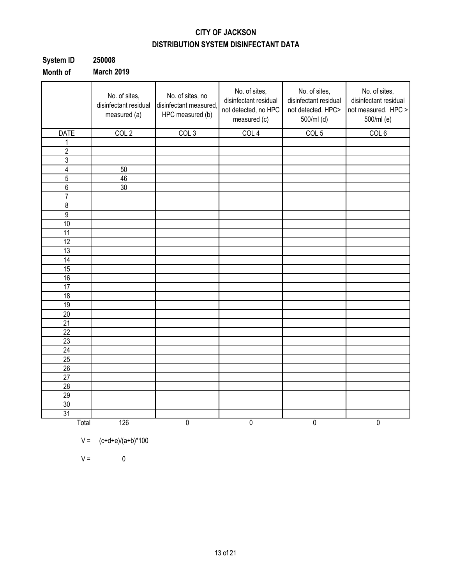### **CITY OF JACKSON DISTRIBUTION SYSTEM DISINFECTANT DATA**

| System ID | 250008            |
|-----------|-------------------|
| Month of  | <b>March 2019</b> |

|                 | No. of sites,<br>disinfectant residual<br>measured (a) | No. of sites, no<br>disinfectant measured,<br>HPC measured (b) | No. of sites,<br>disinfectant residual<br>not detected, no HPC<br>measured (c) | No. of sites,<br>disinfectant residual<br>not detected. HPC><br>500/ml (d) | No. of sites,<br>disinfectant residual<br>not measured. HPC ><br>500/ml (e) |
|-----------------|--------------------------------------------------------|----------------------------------------------------------------|--------------------------------------------------------------------------------|----------------------------------------------------------------------------|-----------------------------------------------------------------------------|
| <b>DATE</b>     | COL <sub>2</sub>                                       | COL3                                                           | COL <sub>4</sub>                                                               | COL <sub>5</sub>                                                           | COL <sub>6</sub>                                                            |
| 1               |                                                        |                                                                |                                                                                |                                                                            |                                                                             |
| $\overline{2}$  |                                                        |                                                                |                                                                                |                                                                            |                                                                             |
| 3               |                                                        |                                                                |                                                                                |                                                                            |                                                                             |
| $\overline{4}$  | 50                                                     |                                                                |                                                                                |                                                                            |                                                                             |
| $\overline{5}$  | 46                                                     |                                                                |                                                                                |                                                                            |                                                                             |
| $\overline{6}$  | 30                                                     |                                                                |                                                                                |                                                                            |                                                                             |
| $\overline{7}$  |                                                        |                                                                |                                                                                |                                                                            |                                                                             |
| 8               |                                                        |                                                                |                                                                                |                                                                            |                                                                             |
| $\overline{9}$  |                                                        |                                                                |                                                                                |                                                                            |                                                                             |
| 10              |                                                        |                                                                |                                                                                |                                                                            |                                                                             |
| 11              |                                                        |                                                                |                                                                                |                                                                            |                                                                             |
| 12              |                                                        |                                                                |                                                                                |                                                                            |                                                                             |
| $\overline{13}$ |                                                        |                                                                |                                                                                |                                                                            |                                                                             |
| $\overline{14}$ |                                                        |                                                                |                                                                                |                                                                            |                                                                             |
| 15              |                                                        |                                                                |                                                                                |                                                                            |                                                                             |
| 16              |                                                        |                                                                |                                                                                |                                                                            |                                                                             |
| $\overline{17}$ |                                                        |                                                                |                                                                                |                                                                            |                                                                             |
| 18              |                                                        |                                                                |                                                                                |                                                                            |                                                                             |
| 19              |                                                        |                                                                |                                                                                |                                                                            |                                                                             |
| $\overline{20}$ |                                                        |                                                                |                                                                                |                                                                            |                                                                             |
| $\overline{21}$ |                                                        |                                                                |                                                                                |                                                                            |                                                                             |
| $\overline{22}$ |                                                        |                                                                |                                                                                |                                                                            |                                                                             |
| 23              |                                                        |                                                                |                                                                                |                                                                            |                                                                             |
| 24              |                                                        |                                                                |                                                                                |                                                                            |                                                                             |
| 25              |                                                        |                                                                |                                                                                |                                                                            |                                                                             |
| 26              |                                                        |                                                                |                                                                                |                                                                            |                                                                             |
| $\overline{27}$ |                                                        |                                                                |                                                                                |                                                                            |                                                                             |
| 28              |                                                        |                                                                |                                                                                |                                                                            |                                                                             |
| 29              |                                                        |                                                                |                                                                                |                                                                            |                                                                             |
| 30              |                                                        |                                                                |                                                                                |                                                                            |                                                                             |
| $\overline{31}$ |                                                        |                                                                |                                                                                |                                                                            |                                                                             |
| Total           | 126                                                    | $\pmb{0}$                                                      | $\overline{0}$                                                                 | $\overline{0}$                                                             | $\overline{0}$                                                              |

$$
V = (c+d+e)/(a+b)^*100
$$

 $V = 0$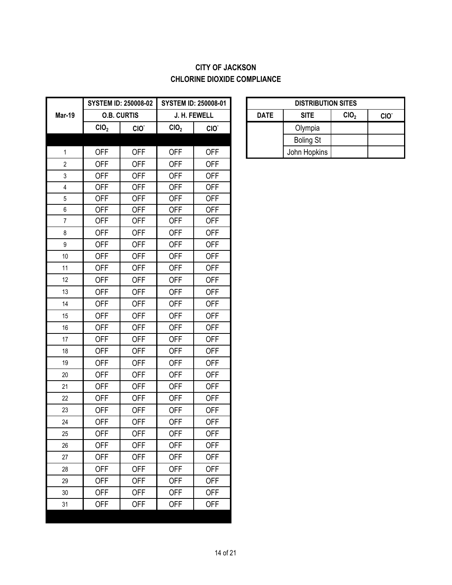### **CITY OF JACKSON CHLORINE DIOXIDE COMPLIANCE**

|                  |                  | <b>SYSTEM ID: 250008-02</b> |                  | <b>SYSTEM ID: 250008-01</b> |             | <b>DISTRIBUT</b> |
|------------------|------------------|-----------------------------|------------------|-----------------------------|-------------|------------------|
| <b>Mar-19</b>    |                  | <b>O.B. CURTIS</b>          |                  | J. H. FEWELL                | <b>DATE</b> | <b>SITE</b>      |
|                  | CIO <sub>2</sub> | CIO.                        | CIO <sub>2</sub> | CIO.                        |             | Olympia          |
|                  |                  |                             |                  |                             |             | <b>Boling St</b> |
| $\mathbf 1$      | <b>OFF</b>       | <b>OFF</b>                  | <b>OFF</b>       | <b>OFF</b>                  |             | John Hopkins     |
| $\overline{2}$   | <b>OFF</b>       | <b>OFF</b>                  | <b>OFF</b>       | <b>OFF</b>                  |             |                  |
| 3                | <b>OFF</b>       | <b>OFF</b>                  | <b>OFF</b>       | <b>OFF</b>                  |             |                  |
| $\overline{4}$   | <b>OFF</b>       | <b>OFF</b>                  | <b>OFF</b>       | <b>OFF</b>                  |             |                  |
| $\sqrt{5}$       | <b>OFF</b>       | <b>OFF</b>                  | <b>OFF</b>       | <b>OFF</b>                  |             |                  |
| $\boldsymbol{6}$ | <b>OFF</b>       | <b>OFF</b>                  | <b>OFF</b>       | <b>OFF</b>                  |             |                  |
| $\overline{7}$   | <b>OFF</b>       | <b>OFF</b>                  | <b>OFF</b>       | <b>OFF</b>                  |             |                  |
| 8                | <b>OFF</b>       | <b>OFF</b>                  | <b>OFF</b>       | <b>OFF</b>                  |             |                  |
| $\boldsymbol{9}$ | <b>OFF</b>       | <b>OFF</b>                  | <b>OFF</b>       | <b>OFF</b>                  |             |                  |
| 10               | <b>OFF</b>       | <b>OFF</b>                  | <b>OFF</b>       | <b>OFF</b>                  |             |                  |
| 11               | <b>OFF</b>       | <b>OFF</b>                  | <b>OFF</b>       | <b>OFF</b>                  |             |                  |
| 12               | <b>OFF</b>       | <b>OFF</b>                  | <b>OFF</b>       | <b>OFF</b>                  |             |                  |
| 13               | <b>OFF</b>       | <b>OFF</b>                  | <b>OFF</b>       | <b>OFF</b>                  |             |                  |
| 14               | <b>OFF</b>       | <b>OFF</b>                  | <b>OFF</b>       | <b>OFF</b>                  |             |                  |
| 15               | <b>OFF</b>       | <b>OFF</b>                  | <b>OFF</b>       | <b>OFF</b>                  |             |                  |
| 16               | <b>OFF</b>       | <b>OFF</b>                  | <b>OFF</b>       | <b>OFF</b>                  |             |                  |
| 17               | <b>OFF</b>       | <b>OFF</b>                  | <b>OFF</b>       | <b>OFF</b>                  |             |                  |
| 18               | <b>OFF</b>       | <b>OFF</b>                  | <b>OFF</b>       | <b>OFF</b>                  |             |                  |
| 19               | <b>OFF</b>       | <b>OFF</b>                  | <b>OFF</b>       | <b>OFF</b>                  |             |                  |
| 20               | <b>OFF</b>       | <b>OFF</b>                  | <b>OFF</b>       | <b>OFF</b>                  |             |                  |
| 21               | <b>OFF</b>       | <b>OFF</b>                  | <b>OFF</b>       | <b>OFF</b>                  |             |                  |
| 22               | <b>OFF</b>       | <b>OFF</b>                  | <b>OFF</b>       | <b>OFF</b>                  |             |                  |
| 23               | <b>OFF</b>       | <b>OFF</b>                  | <b>OFF</b>       | <b>OFF</b>                  |             |                  |
| 24               | <b>OFF</b>       | <b>OFF</b>                  | <b>OFF</b>       | <b>OFF</b>                  |             |                  |
| 25               | <b>OFF</b>       | <b>OFF</b>                  | <b>OFF</b>       | <b>OFF</b>                  |             |                  |
| 26               | <b>OFF</b>       | <b>OFF</b>                  | <b>OFF</b>       | <b>OFF</b>                  |             |                  |
| 27               | <b>OFF</b>       | <b>OFF</b>                  | <b>OFF</b>       | <b>OFF</b>                  |             |                  |
| 28               | <b>OFF</b>       | <b>OFF</b>                  | <b>OFF</b>       | <b>OFF</b>                  |             |                  |
| 29               | <b>OFF</b>       | <b>OFF</b>                  | <b>OFF</b>       | <b>OFF</b>                  |             |                  |
| 30               | <b>OFF</b>       | <b>OFF</b>                  | <b>OFF</b>       | <b>OFF</b>                  |             |                  |
| 31               | <b>OFF</b>       | <b>OFF</b>                  | <b>OFF</b>       | <b>OFF</b>                  |             |                  |
|                  |                  |                             |                  |                             |             |                  |

| <b>DISTRIBUTION SITES</b> |                  |                  |                  |  |  |  |  |
|---------------------------|------------------|------------------|------------------|--|--|--|--|
| <b>DATE</b>               | <b>SITE</b>      | CIO <sub>2</sub> | CIO <sup>-</sup> |  |  |  |  |
|                           | Olympia          |                  |                  |  |  |  |  |
|                           | <b>Boling St</b> |                  |                  |  |  |  |  |
|                           | John Hopkins     |                  |                  |  |  |  |  |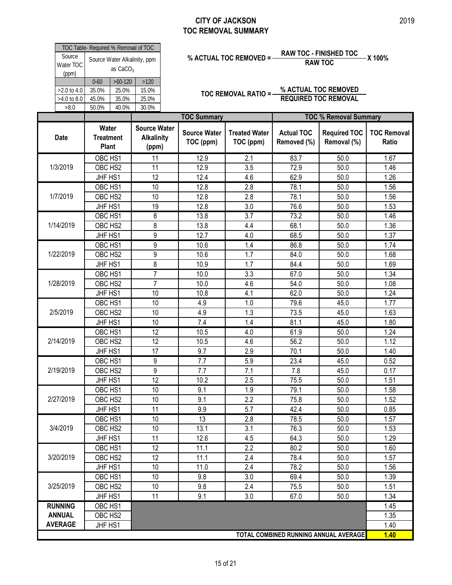#### **CITY OF JACKSON TOC REMOVAL SUMMARY**

| >8.0                                 | 50.0%    | 40.0%     | 30.0% |                                            |  |  |
|--------------------------------------|----------|-----------|-------|--------------------------------------------|--|--|
| $>4.0$ to 8.0                        | 45.0%    | 35.0%     | 25.0% |                                            |  |  |
| $>2.0$ to 4.0                        | 35.0%    | 25.0%     | 15.0% |                                            |  |  |
|                                      | $0 - 60$ | $>60-120$ | >120  |                                            |  |  |
| (ppm)                                |          |           |       |                                            |  |  |
| Water TOC                            |          |           |       |                                            |  |  |
| Source                               |          |           |       |                                            |  |  |
| TOC Table- Required % Removal of TOC |          |           |       |                                            |  |  |
|                                      |          |           |       | Source Water Alkalinity, ppm<br>as $CaCO3$ |  |  |

# **% ACTUAL TOC REMOVED = RAW TOC - FINISHED TOC X 100% RAW TOC**

| Source<br>Water TOC | TOC Table- Required % Removal of TOC |                         | Source Water Alkalinity, ppm |                                  | % ACTUAL TOC REMOVED = -          | <b>RAW TOC - FINISHED TOC</b><br><b>RAW TOC</b> | -X 100%                               |                             |      |      |
|---------------------|--------------------------------------|-------------------------|------------------------------|----------------------------------|-----------------------------------|-------------------------------------------------|---------------------------------------|-----------------------------|------|------|
| (ppm)               | $0 - 60$                             | as $CaCO3$<br>$>60-120$ | $>120$                       |                                  |                                   |                                                 |                                       |                             |      |      |
| >2.0 to 4.0         | 35.0%                                | 25.0%                   | 15.0%                        |                                  | <b>TOC REMOVAL RATIO =-</b>       |                                                 | % ACTUAL TOC REMOVED                  |                             |      |      |
| >4.0 to 8.0<br>>8.0 | 45.0%<br>50.0%                       | 35.0%<br>40.0%          | 25.0%<br>30.0%               |                                  | <b>REQUIRED TOC REMOVAL</b>       |                                                 |                                       |                             |      |      |
|                     |                                      |                         |                              | <b>TOC Summary</b>               |                                   |                                                 | <b>TOC % Removal Summary</b>          |                             |      |      |
|                     | Water                                |                         | <b>Source Water</b>          |                                  |                                   |                                                 |                                       |                             |      |      |
| <b>Date</b>         | <b>Treatment</b><br><b>Plant</b>     |                         | <b>Alkalinity</b><br>(ppm)   | <b>Source Water</b><br>TOC (ppm) | <b>Treated Water</b><br>TOC (ppm) | <b>Actual TOC</b><br>Removed (%)                | <b>Required TOC</b><br>Removal (%)    | <b>TOC Removal</b><br>Ratio |      |      |
|                     | OBC HS1                              |                         | 11                           | 12.9                             | 2.1                               | 83.7                                            | 50.0                                  | 1.67                        |      |      |
| 1/3/2019            | OBC HS2                              |                         | 11                           | 12.9                             | 3.5                               | 72.9                                            | 50.0                                  | 1.46                        |      |      |
|                     | JHF HS1                              |                         | 12                           | 12.4                             | 4.6                               | 62.9                                            | 50.0                                  | 1.26                        |      |      |
|                     | OBC HS1                              |                         | 10                           | 12.8                             | 2.8                               | 78.1                                            | 50.0                                  | 1.56                        |      |      |
| 1/7/2019            | OBC HS2                              |                         | 10                           | 12.8                             | 2.8                               | 78.1                                            | 50.0                                  | 1.56                        |      |      |
|                     | JHF HS1                              |                         | 19                           | 12.8                             | 3.0                               | 76.6                                            | 50.0                                  | 1.53                        |      |      |
|                     | OBC HS1                              |                         | 8                            | 13.8                             | 3.7                               | 73.2                                            | 50.0                                  | 1.46                        |      |      |
| 1/14/2019           | OBC HS2                              |                         | 8                            | 13.8                             | 4.4                               | 68.1                                            | 50.0                                  | 1.36                        |      |      |
|                     | JHF HS1                              |                         | 9                            | 12.7                             | 4.0                               | 68.5                                            | 50.0                                  | 1.37                        |      |      |
|                     | OBC HS1                              |                         | 9                            | 10.6                             | 1.4                               | 86.8                                            | 50.0                                  | 1.74                        |      |      |
| 1/22/2019           | OBC HS2                              |                         | 9                            | 10.6                             | 1.7                               | 84.0                                            | 50.0                                  | 1.68                        |      |      |
|                     | JHF HS1                              |                         | 8                            | 10.9                             | 1.7                               | 84.4                                            | 50.0                                  | 1.69                        |      |      |
|                     | OBC HS1                              |                         | 7                            | 10.0                             | 3.3                               | 67.0                                            | 50.0                                  | 1.34                        |      |      |
| 1/28/2019           | OBC HS2                              |                         | $\overline{7}$               | 10.0                             | 4.6                               | 54.0                                            | 50.0                                  | 1.08                        |      |      |
|                     |                                      |                         | JHF HS1                      |                                  | 10                                | 10.8                                            | 4.1                                   | 62.0                        | 50.0 | 1.24 |
|                     | OBC HS1                              |                         | $\overline{10}$              | 4.9                              | 1.0                               | 79.6                                            | 45.0                                  | 1.77                        |      |      |
| 2/5/2019            | OBC HS2                              |                         | 10                           | 4.9                              | 1.3                               | 73.5                                            | 45.0                                  | 1.63                        |      |      |
|                     | JHF HS1                              |                         | 10                           | 7.4                              | 1.4                               | 81.1                                            | 45.0                                  | 1.80                        |      |      |
|                     | OBC HS1                              |                         | 12                           | 10.5                             | 4.0                               | 61.9                                            | 50.0                                  | 1.24                        |      |      |
| 2/14/2019           | OBC HS2                              |                         | 12                           | 10.5                             | 4.6                               | 56.2                                            | 50.0                                  | 1.12                        |      |      |
|                     | JHF HS1                              |                         | 17                           | 9.7                              | 2.9                               | 70.1                                            | 50.0                                  | 1.40                        |      |      |
|                     | OBC HS1                              |                         | 9                            | 7.7                              | 5.9                               | 23.4                                            | 45.0                                  | 0.52                        |      |      |
| 2/19/2019           | OBC HS2                              |                         | 9                            | 7.7                              | 7.1                               | 7.8                                             | 45.0                                  | 0.17                        |      |      |
|                     | JHF HS1                              |                         | 12                           | 10.2                             | 2.5                               | 75.5                                            | 50.0                                  | 1.51                        |      |      |
|                     | OBC HS1                              |                         | 10                           | 9.1                              | 1.9                               | 79.1                                            | 50.0                                  | 1.58                        |      |      |
| 2/27/2019           | OBC HS2                              |                         | 10                           | 9.1                              | 2.2                               | 75.8                                            | 50.0                                  | 1.52                        |      |      |
|                     | JHF HS1                              |                         | 11                           | 9.9                              | 5.7                               | 42.4                                            | 50.0                                  | 0.85                        |      |      |
|                     | OBC HS1                              |                         | 10                           | 13                               | 2.8                               | 78.5                                            | 50.0                                  | 1.57                        |      |      |
| 3/4/2019            | OBC HS2                              |                         | 10                           | 13.1                             | 3.1                               | 76.3                                            | 50.0                                  | 1.53                        |      |      |
|                     | JHF HS1                              |                         | 11                           | 12.6                             | 4.5                               | 64.3                                            | 50.0                                  | 1.29                        |      |      |
|                     | OBC HS1                              |                         | 12                           | 11.1                             | 2.2                               | 80.2                                            | 50.0                                  | 1.60                        |      |      |
| 3/20/2019           | OBC HS2                              |                         | 12                           | 11.1                             | 2.4                               | 78.4                                            | 50.0                                  | 1.57                        |      |      |
|                     | JHF HS1                              |                         | 10                           | 11.0                             | 2.4                               | 78.2                                            | 50.0                                  | 1.56                        |      |      |
|                     | OBC HS1                              |                         | 10                           | 9.8                              | 3.0                               | 69.4                                            | 50.0                                  | 1.39                        |      |      |
| 3/25/2019           | OBC HS2                              |                         | 10                           | 9.8                              | 2.4                               | 75.5                                            | 50.0                                  | 1.51                        |      |      |
|                     | JHF HS1                              |                         | 11                           | 9.1                              | 3.0                               | 67.0                                            | 50.0                                  | 1.34                        |      |      |
| <b>RUNNING</b>      | OBC HS1                              |                         |                              |                                  |                                   |                                                 |                                       | 1.45                        |      |      |
| <b>ANNUAL</b>       | OBC HS2                              |                         |                              |                                  |                                   |                                                 |                                       | 1.35                        |      |      |
| <b>AVERAGE</b>      | JHF HS1                              |                         |                              |                                  |                                   |                                                 |                                       | 1.40                        |      |      |
|                     |                                      |                         |                              |                                  |                                   |                                                 | TOTAL COMBINED RUNNING ANNUAL AVERAGE | 1.40                        |      |      |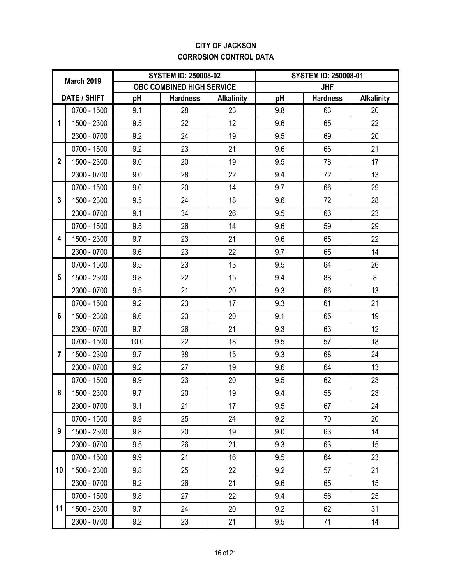### **CITY OF JACKSON CORROSION CONTROL DATA**

|                | <b>March 2019</b>   |      | <b>SYSTEM ID: 250008-02</b> |                   |     | <b>SYSTEM ID: 250008-01</b> |                   |
|----------------|---------------------|------|-----------------------------|-------------------|-----|-----------------------------|-------------------|
|                |                     |      | OBC COMBINED HIGH SERVICE   |                   |     | <b>JHF</b>                  |                   |
|                | <b>DATE / SHIFT</b> | pH   | <b>Hardness</b>             | <b>Alkalinity</b> | pH  | <b>Hardness</b>             | <b>Alkalinity</b> |
|                | 0700 - 1500         | 9.1  | 28                          | 23                | 9.8 | 63                          | 20                |
| 1              | 1500 - 2300         | 9.5  | 22                          | 12                | 9.6 | 65                          | 22                |
|                | 2300 - 0700         | 9.2  | 24                          | 19                | 9.5 | 69                          | 20                |
|                | 0700 - 1500         | 9.2  | 23                          | 21                | 9.6 | 66                          | 21                |
| $\overline{2}$ | 1500 - 2300         | 9.0  | 20                          | 19                | 9.5 | 78                          | 17                |
|                | 2300 - 0700         | 9.0  | 28                          | 22                | 9.4 | 72                          | 13                |
|                | 0700 - 1500         | 9.0  | 20                          | 14                | 9.7 | 66                          | 29                |
| 3              | 1500 - 2300         | 9.5  | 24                          | 18                | 9.6 | 72                          | 28                |
|                | 2300 - 0700         | 9.1  | 34                          | 26                | 9.5 | 66                          | 23                |
|                | 0700 - 1500         | 9.5  | 26                          | 14                | 9.6 | 59                          | 29                |
| 4              | 1500 - 2300         | 9.7  | 23                          | 21                | 9.6 | 65                          | 22                |
|                | 2300 - 0700         | 9.6  | 23                          | 22                | 9.7 | 65                          | 14                |
|                | 0700 - 1500         | 9.5  | 23                          | 13                | 9.5 | 64                          | 26                |
| 5              | 1500 - 2300         | 9.8  | 22                          | 15                | 9.4 | 88                          | 8                 |
|                | 2300 - 0700         | 9.5  | 21                          | 20                | 9.3 | 66                          | 13                |
|                | 0700 - 1500         | 9.2  | 23                          | 17                | 9.3 | 61                          | 21                |
| 6              | 1500 - 2300         | 9.6  | 23                          | 20                | 9.1 | 65                          | 19                |
|                | 2300 - 0700         | 9.7  | 26                          | 21                | 9.3 | 63                          | 12                |
|                | 0700 - 1500         | 10.0 | 22                          | 18                | 9.5 | 57                          | 18                |
| $\overline{7}$ | 1500 - 2300         | 9.7  | 38                          | 15                | 9.3 | 68                          | 24                |
|                | 2300 - 0700         | 9.2  | 27                          | 19                | 9.6 | 64                          | 13                |
|                | 0700 - 1500         | 9.9  | 23                          | 20                | 9.5 | 62                          | 23                |
| 8              | 1500 - 2300         | 9.7  | 20                          | 19                | 9.4 | 55                          | 23                |
|                | 2300 - 0700         | 9.1  | 21                          | 17                | 9.5 | 67                          | 24                |
|                | 0700 - 1500         | 9.9  | 25                          | 24                | 9.2 | 70                          | 20                |
| 9              | 1500 - 2300         | 9.8  | 20                          | 19                | 9.0 | 63                          | 14                |
|                | 2300 - 0700         | 9.5  | 26                          | 21                | 9.3 | 63                          | 15                |
|                | 0700 - 1500         | 9.9  | 21                          | 16                | 9.5 | 64                          | 23                |
| 10             | 1500 - 2300         | 9.8  | 25                          | 22                | 9.2 | 57                          | 21                |
|                | 2300 - 0700         | 9.2  | 26                          | 21                | 9.6 | 65                          | 15                |
|                | 0700 - 1500         | 9.8  | 27                          | 22                | 9.4 | 56                          | 25                |
| 11             | 1500 - 2300         | 9.7  | 24                          | 20                | 9.2 | 62                          | 31                |
|                | 2300 - 0700         | 9.2  | 23                          | 21                | 9.5 | 71                          | 14                |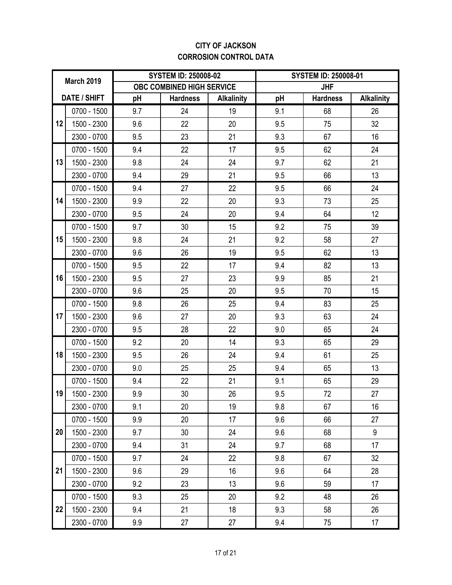### **CITY OF JACKSON CORROSION CONTROL DATA**

|    | <b>March 2019</b>   |     | <b>SYSTEM ID: 250008-02</b> |                   | <b>SYSTEM ID: 250008-01</b> |                 |                   |  |  |  |  |
|----|---------------------|-----|-----------------------------|-------------------|-----------------------------|-----------------|-------------------|--|--|--|--|
|    |                     |     | OBC COMBINED HIGH SERVICE   |                   |                             | <b>JHF</b>      |                   |  |  |  |  |
|    | <b>DATE / SHIFT</b> | pH  | <b>Hardness</b>             | <b>Alkalinity</b> | pH                          | <b>Hardness</b> | <b>Alkalinity</b> |  |  |  |  |
|    | 0700 - 1500         | 9.7 | 24                          | 19                | 9.1                         | 68              | 26                |  |  |  |  |
| 12 | 1500 - 2300         | 9.6 | 22                          | 20                | 9.5                         | 75              | 32                |  |  |  |  |
|    | 2300 - 0700         | 9.5 | 23                          | 21                | 9.3                         | 67              | 16                |  |  |  |  |
|    | 0700 - 1500         | 9.4 | 22                          | 17                | 9.5                         | 62              | 24                |  |  |  |  |
| 13 | 1500 - 2300         | 9.8 | 24                          | 24                | 9.7                         | 62              | 21                |  |  |  |  |
|    | 2300 - 0700         | 9.4 | 29                          | 21                | 9.5                         | 66              | 13                |  |  |  |  |
|    | 0700 - 1500         | 9.4 | 27                          | 22                | 9.5                         | 66              | 24                |  |  |  |  |
| 14 | 1500 - 2300         | 9.9 | 22                          | 20                | 9.3                         | 73              | 25                |  |  |  |  |
|    | 2300 - 0700         | 9.5 | 24                          | 20                | 9.4                         | 64              | 12                |  |  |  |  |
|    | 0700 - 1500         | 9.7 | 30                          | 15                | 9.2                         | 75              | 39                |  |  |  |  |
| 15 | 1500 - 2300         | 9.8 | 24                          | 21                | 9.2                         | 58              | 27                |  |  |  |  |
|    | 2300 - 0700         | 9.6 | 26                          | 19                | 9.5                         | 62              | 13                |  |  |  |  |
|    | 0700 - 1500         | 9.5 | 22                          | 17                | 9.4                         | 82              | 13                |  |  |  |  |
| 16 | 1500 - 2300         | 9.5 | 27                          | 23                | 9.9                         | 85              | 21                |  |  |  |  |
|    | 2300 - 0700         | 9.6 | 25                          | 20                | 9.5                         | 70              | 15                |  |  |  |  |
|    | 0700 - 1500         | 9.8 | 26                          | 25                | 9.4                         | 83              | 25                |  |  |  |  |
| 17 | 1500 - 2300         | 9.6 | 27                          | 20                | 9.3                         | 63              | 24                |  |  |  |  |
|    | 2300 - 0700         | 9.5 | 28                          | 22                | 9.0                         | 65              | 24                |  |  |  |  |
|    | 0700 - 1500         | 9.2 | 20                          | 14                | 9.3                         | 65              | 29                |  |  |  |  |
| 18 | 1500 - 2300         | 9.5 | 26                          | 24                | 9.4                         | 61              | 25                |  |  |  |  |
|    | 2300 - 0700         | 9.0 | 25                          | 25                | 9.4                         | 65              | 13                |  |  |  |  |
|    | 0700 - 1500         | 9.4 | 22                          | 21                | 9.1                         | 65              | 29                |  |  |  |  |
| 19 | 1500 - 2300         | 9.9 | 30                          | 26                | 9.5                         | 72              | 27                |  |  |  |  |
|    | 2300 - 0700         | 9.1 | 20                          | 19                | 9.8                         | 67              | 16                |  |  |  |  |
|    | 0700 - 1500         | 9.9 | 20                          | 17                | 9.6                         | 66              | 27                |  |  |  |  |
| 20 | 1500 - 2300         | 9.7 | 30                          | 24                | 9.6                         | 68              | 9                 |  |  |  |  |
|    | 2300 - 0700         | 9.4 | 31                          | 24                | 9.7                         | 68              | 17                |  |  |  |  |
|    | 0700 - 1500         | 9.7 | 24                          | 22                | 9.8                         | 67              | 32                |  |  |  |  |
| 21 | 1500 - 2300         | 9.6 | 29                          | 16                | 9.6                         | 64              | 28                |  |  |  |  |
|    | 2300 - 0700         | 9.2 | 23                          | 13                | 9.6                         | 59              | 17                |  |  |  |  |
|    | 0700 - 1500         | 9.3 | 25                          | 20                | 9.2                         | 48              | 26                |  |  |  |  |
| 22 | 1500 - 2300         | 9.4 | 21                          | 18                | 9.3                         | 58              | 26                |  |  |  |  |
|    | 2300 - 0700         | 9.9 | 27                          | 27                | 9.4                         | 75              | 17                |  |  |  |  |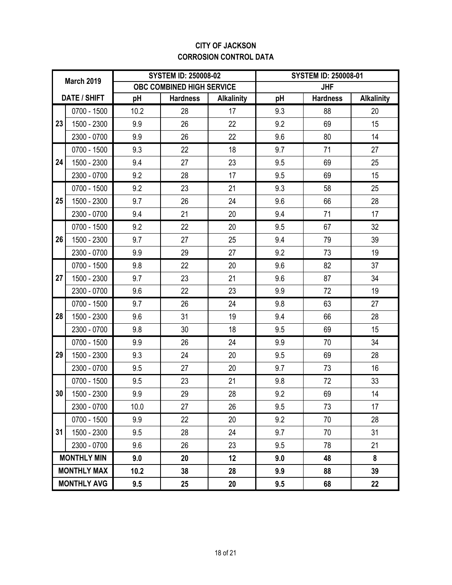### **CITY OF JACKSON CORROSION CONTROL DATA**

|    | <b>March 2019</b>  |      | <b>SYSTEM ID: 250008-02</b> |                   |     | <b>SYSTEM ID: 250008-01</b> |                   |
|----|--------------------|------|-----------------------------|-------------------|-----|-----------------------------|-------------------|
|    |                    |      | OBC COMBINED HIGH SERVICE   |                   |     | <b>JHF</b>                  |                   |
|    | DATE / SHIFT       | pH   | <b>Hardness</b>             | <b>Alkalinity</b> | pH  | <b>Hardness</b>             | <b>Alkalinity</b> |
|    | 0700 - 1500        | 10.2 | 28                          | 17                | 9.3 | 88                          | 20                |
| 23 | 1500 - 2300        | 9.9  | 26                          | 22                | 9.2 | 69                          | 15                |
|    | 2300 - 0700        | 9.9  | 26                          | 22                | 9.6 | 80                          | 14                |
|    | 0700 - 1500        | 9.3  | 22                          | 18                | 9.7 | 71                          | 27                |
| 24 | 1500 - 2300        | 9.4  | 27                          | 23                | 9.5 | 69                          | 25                |
|    | 2300 - 0700        | 9.2  | 28                          | 17                | 9.5 | 69                          | 15                |
|    | 0700 - 1500        | 9.2  | 23                          | 21                | 9.3 | 58                          | 25                |
| 25 | 1500 - 2300        | 9.7  | 26                          | 24                | 9.6 | 66                          | 28                |
|    | 2300 - 0700        | 9.4  | 21                          | 20                | 9.4 | 71                          | 17                |
|    | 0700 - 1500        | 9.2  | 22                          | 20                | 9.5 | 67                          | 32                |
| 26 | 1500 - 2300        | 9.7  | 27                          | 25                | 9.4 | 79                          | 39                |
|    | 2300 - 0700        | 9.9  | 29                          | 27                | 9.2 | 73                          | 19                |
|    | 0700 - 1500        | 9.8  | 22                          | 20                | 9.6 | 82                          | 37                |
| 27 | 1500 - 2300        | 9.7  | 23                          | 21                | 9.6 | 87                          | 34                |
|    | 2300 - 0700        | 9.6  | 22                          | 23                | 9.9 | 72                          | 19                |
|    | 0700 - 1500        | 9.7  | 26                          | 24                | 9.8 | 63                          | 27                |
| 28 | 1500 - 2300        | 9.6  | 31                          | 19                | 9.4 | 66                          | 28                |
|    | 2300 - 0700        | 9.8  | 30                          | 18                | 9.5 | 69                          | 15                |
|    | 0700 - 1500        | 9.9  | 26                          | 24                | 9.9 | 70                          | 34                |
| 29 | 1500 - 2300        | 9.3  | 24                          | 20                | 9.5 | 69                          | 28                |
|    | 2300 - 0700        | 9.5  | 27                          | 20                | 9.7 | 73                          | 16                |
|    | 0700 - 1500        | 9.5  | 23                          | 21                | 9.8 | 72                          | 33                |
| 30 | 1500 - 2300        | 9.9  | 29                          | 28                | 9.2 | 69                          | 14                |
|    | 2300 - 0700        | 10.0 | 27                          | 26                | 9.5 | 73                          | 17                |
|    | 0700 - 1500        | 9.9  | 22                          | 20                | 9.2 | 70                          | 28                |
| 31 | 1500 - 2300        | 9.5  | 28                          | 24                | 9.7 | 70                          | 31                |
|    | 2300 - 0700        | 9.6  | 26                          | 23                | 9.5 | 78                          | 21                |
|    | <b>MONTHLY MIN</b> | 9.0  | 20                          | 12                | 9.0 | 48                          | 8                 |
|    | <b>MONTHLY MAX</b> | 10.2 | 38                          | 28                | 9.9 | 88                          | 39                |
|    | <b>MONTHLY AVG</b> | 9.5  | 25                          | 20                | 9.5 | 68                          | 22                |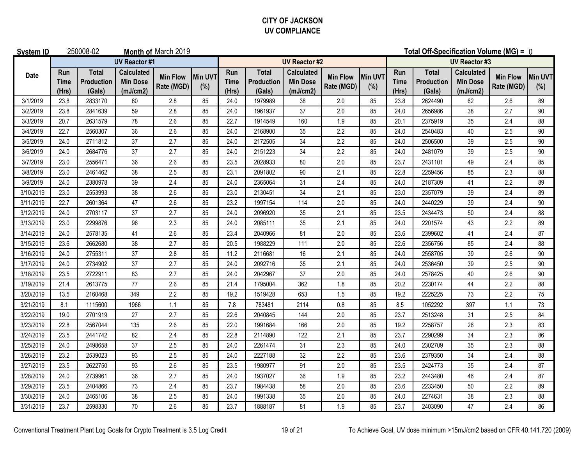#### **CITY OF JACKSON UV COMPLIANCE**

| <b>System ID</b> |                             | 250008-02                                   |                                                  | Month of March 2019           |                       | Total Off-Specification Volume (MG) = 0 |                                      |                                                  |                               |                |                             |                                      |                                                  |                               |                       |
|------------------|-----------------------------|---------------------------------------------|--------------------------------------------------|-------------------------------|-----------------------|-----------------------------------------|--------------------------------------|--------------------------------------------------|-------------------------------|----------------|-----------------------------|--------------------------------------|--------------------------------------------------|-------------------------------|-----------------------|
|                  |                             |                                             | <b>UV Reactor #1</b>                             |                               |                       |                                         |                                      | <b>UV Reactor #2</b>                             |                               |                |                             |                                      | <b>UV Reactor #3</b>                             |                               |                       |
| Date             | Run<br><b>Time</b><br>(Hrs) | <b>Total</b><br><b>Production</b><br>(Gals) | <b>Calculated</b><br><b>Min Dose</b><br>(mJ/cm2) | <b>Min Flow</b><br>Rate (MGD) | <b>Min UVT</b><br>(%) | Run<br>Time<br>(Hrs)                    | <b>Total</b><br>Production<br>(Gals) | <b>Calculated</b><br><b>Min Dose</b><br>(mJ/cm2) | <b>Min Flow</b><br>Rate (MGD) | Min UVT<br>(%) | Run<br><b>Time</b><br>(Hrs) | <b>Total</b><br>Production<br>(Gals) | <b>Calculated</b><br><b>Min Dose</b><br>(mJ/cm2) | <b>Min Flow</b><br>Rate (MGD) | <b>Min UVT</b><br>(%) |
| 3/1/2019         | 23.8                        | 2833170                                     | 60                                               | 2.8                           | 85                    | 24.0                                    | 1979989                              | 38                                               | 2.0                           | 85             | 23.8                        | 2624490                              | 62                                               | 2.6                           | 89                    |
| 3/2/2019         | 23.8                        | 2841639                                     | 59                                               | 2.8                           | 85                    | 24.0                                    | 1961937                              | 37                                               | 2.0                           | 85             | 24.0                        | 2656986                              | 38                                               | 2.7                           | 90                    |
| 3/3/2019         | 20.7                        | 2631579                                     | 78                                               | 2.6                           | 85                    | 22.7                                    | 1914549                              | 160                                              | 1.9                           | 85             | 20.1                        | 2375919                              | 35                                               | 2.4                           | 88                    |
| 3/4/2019         | 22.7                        | 2560307                                     | 36                                               | 2.6                           | 85                    | 24.0                                    | 2168900                              | 35                                               | 2.2                           | 85             | 24.0                        | 2540483                              | 40                                               | 2.5                           | 90                    |
| 3/5/2019         | 24.0                        | 2711812                                     | 37                                               | 2.7                           | 85                    | 24.0                                    | 2172505                              | 34                                               | 2.2                           | 85             | 24.0                        | 2506500                              | 39                                               | 2.5                           | 90                    |
| 3/6/2019         | 24.0                        | 2684776                                     | 37                                               | 2.7                           | 85                    | 24.0                                    | 2151223                              | 34                                               | 2.2                           | 85             | 24.0                        | 2481079                              | 39                                               | 2.5                           | 90                    |
| 3/7/2019         | 23.0                        | 2556471                                     | 36                                               | 2.6                           | 85                    | 23.5                                    | 2028933                              | 80                                               | 2.0                           | 85             | 23.7                        | 2431101                              | 49                                               | 2.4                           | 85                    |
| 3/8/2019         | 23.0                        | 2461462                                     | 38                                               | 2.5                           | 85                    | 23.1                                    | 2091802                              | 90                                               | 2.1                           | 85             | 22.8                        | 2259456                              | 85                                               | 2.3                           | 88                    |
| 3/9/2019         | 24.0                        | 2380978                                     | 39                                               | 2.4                           | 85                    | 24.0                                    | 2365064                              | 31                                               | 2.4                           | 85             | 24.0                        | 2187309                              | 41                                               | 2.2                           | 89                    |
| 3/10/2019        | 23.0                        | 2553993                                     | 38                                               | 2.6                           | 85                    | 23.0                                    | 2130451                              | 34                                               | 2.1                           | 85             | 23.0                        | 2357079                              | 39                                               | 2.4                           | 89                    |
| 3/11/2019        | 22.7                        | 2601364                                     | 47                                               | 2.6                           | 85                    | 23.2                                    | 1997154                              | 114                                              | 2.0                           | 85             | 24.0                        | 2440229                              | 39                                               | 2.4                           | 90                    |
| 3/12/2019        | 24.0                        | 2703117                                     | 37                                               | 2.7                           | 85                    | 24.0                                    | 2096920                              | 35                                               | 2.1                           | 85             | 23.5                        | 2434473                              | 50                                               | 2.4                           | 88                    |
| 3/13/2019        | 23.0                        | 2299876                                     | 96                                               | 2.3                           | 85                    | 24.0                                    | 2085111                              | 35                                               | 2.1                           | 85             | 24.0                        | 2201574                              | 43                                               | 2.2                           | 89                    |
| 3/14/2019        | 24.0                        | 2578135                                     | 41                                               | 2.6                           | 85                    | 23.4                                    | 2040966                              | 81                                               | 2.0                           | 85             | 23.6                        | 2399602                              | 41                                               | 2.4                           | 87                    |
| 3/15/2019        | 23.6                        | 2662680                                     | 38                                               | 2.7                           | 85                    | 20.5                                    | 1988229                              | 111                                              | 2.0                           | 85             | 22.6                        | 2356756                              | 85                                               | 2.4                           | 88                    |
| 3/16/2019        | 24.0                        | 2755311                                     | 37                                               | 2.8                           | 85                    | 11.2                                    | 2116681                              | 16                                               | 2.1                           | 85             | 24.0                        | 2558705                              | 39                                               | 2.6                           | $90\,$                |
| 3/17/2019        | 24.0                        | 2734902                                     | 37                                               | 2.7                           | 85                    | 24.0                                    | 2092716                              | 35                                               | 2.1                           | 85             | 24.0                        | 2536450                              | 39                                               | 2.5                           | $90\,$                |
| 3/18/2019        | 23.5                        | 2722911                                     | 83                                               | 2.7                           | 85                    | 24.0                                    | 2042967                              | 37                                               | 2.0                           | 85             | 24.0                        | 2578425                              | 40                                               | 2.6                           | 90                    |
| 3/19/2019        | 21.4                        | 2613775                                     | 77                                               | 2.6                           | 85                    | 21.4                                    | 1795004                              | 362                                              | 1.8                           | 85             | 20.2                        | 2230174                              | 44                                               | 2.2                           | 88                    |
| 3/20/2019        | 13.5                        | 2160468                                     | 349                                              | 2.2                           | 85                    | 19.2                                    | 1519428                              | 653                                              | 1.5                           | 85             | 19.2                        | 2225225                              | 73                                               | 2.2                           | 75                    |
| 3/21/2019        | 8.1                         | 1115600                                     | 1966                                             | 1.1                           | 85                    | 7.8                                     | 783481                               | 2114                                             | 0.8                           | 85             | 8.5                         | 1052292                              | 397                                              | 1.1                           | 73                    |
| 3/22/2019        | 19.0                        | 2701919                                     | 27                                               | 2.7                           | 85                    | 22.6                                    | 2040845                              | 144                                              | 2.0                           | 85             | 23.7                        | 2513248                              | 31                                               | 2.5                           | 84                    |
| 3/23/2019        | 22.8                        | 2567044                                     | 135                                              | 2.6                           | 85                    | 22.0                                    | 1991684                              | 166                                              | 2.0                           | 85             | 19.2                        | 2258757                              | 26                                               | 2.3                           | 83                    |
| 3/24/2019        | 23.5                        | 2441742                                     | 82                                               | 2.4                           | 85                    | 22.8                                    | 2114890                              | 122                                              | 2.1                           | 85             | 23.7                        | 2290299                              | 34                                               | 2.3                           | 86                    |
| 3/25/2019        | 24.0                        | 2498658                                     | 37                                               | 2.5                           | 85                    | 24.0                                    | 2261474                              | 31                                               | 2.3                           | 85             | 24.0                        | 2302709                              | 35                                               | 2.3                           | 88                    |
| 3/26/2019        | 23.2                        | 2539023                                     | 93                                               | 2.5                           | 85                    | 24.0                                    | 2227188                              | 32                                               | 2.2                           | 85             | 23.6                        | 2379350                              | 34                                               | 2.4                           | 88                    |
| 3/27/2019        | 23.5                        | 2622750                                     | 93                                               | 2.6                           | 85                    | 23.5                                    | 1980977                              | 91                                               | 2.0                           | 85             | 23.5                        | 2424773                              | 35                                               | 2.4                           | 87                    |
| 3/28/2019        | 24.0                        | 2739961                                     | 36                                               | 2.7                           | 85                    | 24.0                                    | 1937027                              | 36                                               | 1.9                           | 85             | 23.2                        | 2443480                              | 46                                               | 2.4                           | 87                    |
| 3/29/2019        | 23.5                        | 2404866                                     | 73                                               | 2.4                           | 85                    | 23.7                                    | 1984438                              | 58                                               | 2.0                           | 85             | 23.6                        | 2233450                              | 50                                               | 2.2                           | 89                    |
| 3/30/2019        | 24.0                        | 2465106                                     | 38                                               | 2.5                           | 85                    | 24.0                                    | 1991338                              | 35                                               | 2.0                           | 85             | 24.0                        | 2274631                              | 38                                               | 2.3                           | 88                    |
| 3/31/2019        | 23.7                        | 2598330                                     | 70                                               | 2.6                           | 85                    | 23.7                                    | 1888187                              | 81                                               | 1.9                           | 85             | 23.7                        | 2403090                              | 47                                               | 2.4                           | 86                    |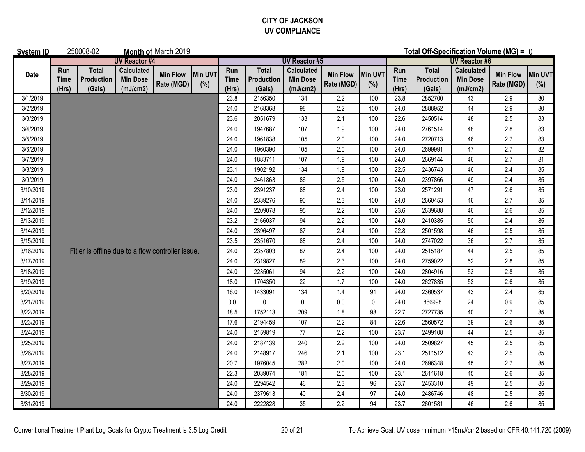#### **CITY OF JACKSON UV COMPLIANCE**

| System ID   |                             | 250008-02                                   |                                                   | Month of March 2019           |                | Total Off-Specification Volume (MG) = 0 |                                      |                                                  |                               |                |                             |                                      |                                                  |                               |                |
|-------------|-----------------------------|---------------------------------------------|---------------------------------------------------|-------------------------------|----------------|-----------------------------------------|--------------------------------------|--------------------------------------------------|-------------------------------|----------------|-----------------------------|--------------------------------------|--------------------------------------------------|-------------------------------|----------------|
|             |                             |                                             | <b>UV Reactor #4</b>                              |                               |                | <b>UV Reactor #5</b>                    |                                      |                                                  |                               |                | <b>UV Reactor #6</b>        |                                      |                                                  |                               |                |
| <b>Date</b> | Run<br><b>Time</b><br>(Hrs) | <b>Total</b><br><b>Production</b><br>(Gals) | <b>Calculated</b><br><b>Min Dose</b><br>(mJ/cm2)  | <b>Min Flow</b><br>Rate (MGD) | Min UVT<br>(%) | Run<br><b>Time</b><br>(Hrs)             | <b>Total</b><br>Production<br>(Gals) | <b>Calculated</b><br><b>Min Dose</b><br>(mJ/cm2) | <b>Min Flow</b><br>Rate (MGD) | Min UVT<br>(%) | Run<br><b>Time</b><br>(Hrs) | <b>Total</b><br>Production<br>(Gals) | <b>Calculated</b><br><b>Min Dose</b><br>(mJ/cm2) | <b>Min Flow</b><br>Rate (MGD) | Min UVT<br>(%) |
| 3/1/2019    |                             |                                             |                                                   |                               |                | 23.8                                    | 2156350                              | 134                                              | 2.2                           | 100            | 23.8                        | 2852700                              | 43                                               | 2.9                           | 80             |
| 3/2/2019    |                             |                                             |                                                   |                               |                | 24.0                                    | 2168368                              | 98                                               | 2.2                           | 100            | 24.0                        | 2888952                              | $44\,$                                           | 2.9                           | 80             |
| 3/3/2019    |                             |                                             |                                                   |                               |                | 23.6                                    | 2051679                              | 133                                              | 2.1                           | 100            | 22.6                        | 2450514                              | 48                                               | 2.5                           | 83             |
| 3/4/2019    |                             |                                             |                                                   |                               |                | 24.0                                    | 1947687                              | 107                                              | 1.9                           | 100            | 24.0                        | 2761514                              | 48                                               | 2.8                           | 83             |
| 3/5/2019    |                             |                                             |                                                   |                               |                | 24.0                                    | 1961838                              | 105                                              | 2.0                           | 100            | 24.0                        | 2720713                              | 46                                               | 2.7                           | 83             |
| 3/6/2019    |                             |                                             |                                                   |                               |                | 24.0                                    | 1960390                              | 105                                              | 2.0                           | 100            | 24.0                        | 2699991                              | 47                                               | 2.7                           | 82             |
| 3/7/2019    |                             |                                             |                                                   |                               |                | 24.0                                    | 1883711                              | 107                                              | 1.9                           | 100            | 24.0                        | 2669144                              | 46                                               | 2.7                           | 81             |
| 3/8/2019    |                             |                                             |                                                   |                               |                | 23.1                                    | 1902192                              | 134                                              | 1.9                           | 100            | 22.5                        | 2436743                              | 46                                               | 2.4                           | 85             |
| 3/9/2019    |                             |                                             |                                                   |                               |                | 24.0                                    | 2461863                              | 86                                               | 2.5                           | 100            | 24.0                        | 2397866                              | 49                                               | 2.4                           | 85             |
| 3/10/2019   |                             |                                             |                                                   |                               |                | 23.0                                    | 2391237                              | 88                                               | 2.4                           | 100            | 23.0                        | 2571291                              | $47\,$                                           | 2.6                           | 85             |
| 3/11/2019   |                             |                                             |                                                   |                               |                | 24.0                                    | 2339276                              | 90                                               | 2.3                           | 100            | 24.0                        | 2660453                              | 46                                               | 2.7                           | 85             |
| 3/12/2019   |                             |                                             |                                                   |                               |                | 24.0                                    | 2209078                              | 95                                               | 2.2                           | 100            | 23.6                        | 2639688                              | 46                                               | 2.6                           | 85             |
| 3/13/2019   |                             |                                             |                                                   |                               |                | 23.2                                    | 2166037                              | 94                                               | 2.2                           | 100            | 24.0                        | 2410385                              | 50                                               | 2.4                           | 85             |
| 3/14/2019   |                             |                                             |                                                   |                               |                | 24.0                                    | 2396497                              | 87                                               | 2.4                           | 100            | 22.8                        | 2501598                              | 46                                               | 2.5                           | 85             |
| 3/15/2019   |                             |                                             |                                                   |                               |                | 23.5                                    | 2351670                              | 88                                               | 2.4                           | 100            | 24.0                        | 2747022                              | 36                                               | 2.7                           | 85             |
| 3/16/2019   |                             |                                             | Fitler is offline due to a flow controller issue. |                               |                | 24.0                                    | 2357803                              | 87                                               | 2.4                           | 100            | 24.0                        | 2515187                              | 44                                               | 2.5                           | 85             |
| 3/17/2019   |                             |                                             |                                                   |                               |                | 24.0                                    | 2319827                              | 89                                               | 2.3                           | 100            | 24.0                        | 2759022                              | 52                                               | 2.8                           | 85             |
| 3/18/2019   |                             |                                             |                                                   |                               |                | 24.0                                    | 2235061                              | 94                                               | 2.2                           | 100            | 24.0                        | 2804916                              | 53                                               | 2.8                           | 85             |
| 3/19/2019   |                             |                                             |                                                   |                               |                | 18.0                                    | 1704350                              | 22                                               | 1.7                           | 100            | 24.0                        | 2627835                              | 53                                               | 2.6                           | 85             |
| 3/20/2019   |                             |                                             |                                                   |                               |                | 16.0                                    | 1433091                              | 134                                              | 1.4                           | 91             | 24.0                        | 2360537                              | 43                                               | 2.4                           | 85             |
| 3/21/2019   |                             |                                             |                                                   |                               |                | 0.0                                     | $\mathbf{0}$                         | $\mathbf 0$                                      | 0.0                           | $\Omega$       | 24.0                        | 886998                               | 24                                               | 0.9                           | 85             |
| 3/22/2019   |                             |                                             |                                                   |                               |                | 18.5                                    | 1752113                              | 209                                              | 1.8                           | 98             | 22.7                        | 2727735                              | 40                                               | 2.7                           | 85             |
| 3/23/2019   |                             |                                             |                                                   |                               |                | 17.6                                    | 2194459                              | 107                                              | 2.2                           | 84             | 22.6                        | 2560572                              | 39                                               | 2.6                           | 85             |
| 3/24/2019   |                             |                                             |                                                   |                               |                | 24.0                                    | 2159819                              | 77                                               | 2.2                           | 100            | 23.7                        | 2499108                              | $44\,$                                           | 2.5                           | 85             |
| 3/25/2019   |                             |                                             |                                                   |                               |                | 24.0                                    | 2187139                              | 240                                              | 2.2                           | 100            | 24.0                        | 2509827                              | 45                                               | 2.5                           | 85             |
| 3/26/2019   |                             |                                             |                                                   |                               |                | 24.0                                    | 2148917                              | 246                                              | 2.1                           | 100            | 23.1                        | 2511512                              | 43                                               | 2.5                           | 85             |
| 3/27/2019   |                             |                                             |                                                   |                               |                | 20.7                                    | 1976045                              | 282                                              | 2.0                           | 100            | 24.0                        | 2696348                              | 45                                               | 2.7                           | 85             |
| 3/28/2019   |                             |                                             |                                                   |                               |                | 22.3                                    | 2039074                              | 181                                              | 2.0                           | 100            | 23.1                        | 2611618                              | 45                                               | 2.6                           | 85             |
| 3/29/2019   |                             |                                             |                                                   |                               |                | 24.0                                    | 2294542                              | 46                                               | 2.3                           | 96             | 23.7                        | 2453310                              | 49                                               | 2.5                           | 85             |
| 3/30/2019   |                             |                                             |                                                   |                               |                | 24.0                                    | 2379613                              | 40                                               | 2.4                           | 97             | 24.0                        | 2486746                              | 48                                               | 2.5                           | 85             |
| 3/31/2019   |                             |                                             |                                                   |                               |                | 24.0                                    | 2222828                              | 35                                               | 2.2                           | 94             | 23.7                        | 2601581                              | 46                                               | 2.6                           | 85             |